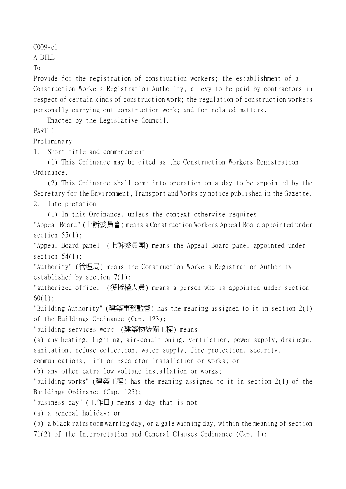C009-e1

A BILL

To

Provide for the registration of construction workers; the establishment of a Construction Workers Registration Authority; a levy to be paid by contractors in respect of certain kinds of construction work; the regulation of construction workers personally carrying out construction work; and for related matters.

Enacted by the Legislative Council.

PART 1

Preliminary

1. Short title and commencement

(1) This Ordinance may be cited as the Construction Workers Registration Ordinance.

(2) This Ordinance shall come into operation on a day to be appointed by the Secretary for the Environment, Transport and Works by notice published in the Gazette. 2. Interpretation

(1) In this Ordinance, unless the context otherwise requires---

"Appeal Board" (㆖訴委員會) means a Construction Workers Appeal Board appointed under section  $55(1)$ ;

"Appeal Board panel" (㆖訴委員團) means the Appeal Board panel appointed under section  $54(1)$ ;

"Authority" (管理局) means the Construction Workers Registration Authority established by section 7(1);

"authorized officer" (獲授權㆟員) means a person who is appointed under section 60(1);

"Building Authority" (建築事務監督) has the meaning assigned to it in section 2(1) of the Buildings Ordinance (Cap. 123);

"building services work" (建築物裝備工程) means---

(a) any heating, lighting, air-conditioning, ventilation, power supply, drainage, sanitation, refuse collection, water supply, fire protection, security,

communications, lift or escalator installation or works; or

(b) any other extra low voltage installation or works;

"building works" (建築工程) has the meaning assigned to it in section 2(1) of the Buildings Ordinance (Cap. 123);

"business day" (工作日) means a day that is not---

(a) a general holiday; or

(b) a black rainstorm warning day, or a gale warning day, within the meaning of section

71(2) of the Interpretation and General Clauses Ordinance (Cap. 1);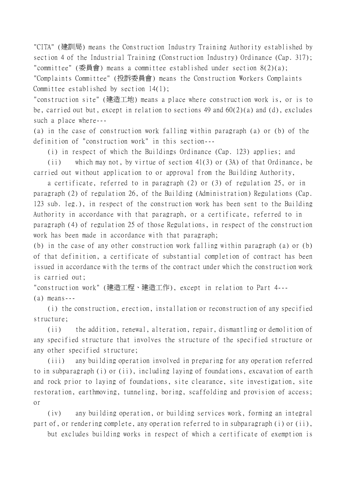"CITA" (建訓局) means the Construction Industry Training Authority established by section 4 of the Industrial Training (Construction Industry) Ordinance (Cap. 317); "committee" (委員會) means a committee established under section 8(2)(a); "Complaints Committee" (投訴委員會) means the Construction Workers Complaints Committee established by section 14(1);

"construction site" (建造工㆞) means a place where construction work is, or is to be, carried out but, except in relation to sections 49 and 60(2)(a) and (d), excludes such a place where---

(a) in the case of construction work falling within paragraph (a) or (b) of the definition of "construction work" in this section---

(i) in respect of which the Buildings Ordinance (Cap. 123) applies; and

(ii) which may not, by virtue of section 41(3) or (3A) of that Ordinance, be carried out without application to or approval from the Building Authority,

a certificate, referred to in paragraph (2) or (3) of regulation 25, or in paragraph (2) of regulation 26, of the Building (Administration) Regulations (Cap. 123 sub. leg.), in respect of the construction work has been sent to the Building Authority in accordance with that paragraph, or a certificate, referred to in paragraph (4) of regulation 25 of those Regulations, in respect of the construction work has been made in accordance with that paragraph;

(b) in the case of any other construction work falling within paragraph (a) or (b) of that definition, a certificate of substantial completion of contract has been issued in accordance with the terms of the contract under which the construction work is carried out;

"construction work" (建造工程、建造工作), except in relation to Part 4---

(a) means---

(i) the construction, erection, installation or reconstruction of any specified structure;

(ii) the addition, renewal, alteration, repair, dismantling or demolition of any specified structure that involves the structure of the specified structure or any other specified structure;

(iii) any building operation involved in preparing for any operation referred to in subparagraph (i) or (ii), including laying of foundations, excavation of earth and rock prior to laying of foundations, site clearance, site investigation, site restoration, earthmoving, tunneling, boring, scaffolding and provision of access; or

(iv) any building operation, or building services work, forming an integral part of, or rendering complete, any operation referred to in subparagraph (i) or (ii),

but excludes building works in respect of which a certificate of exemption is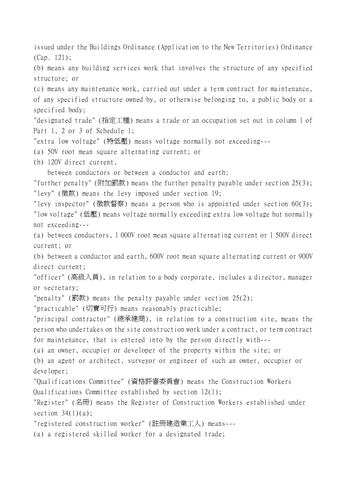issued under the Buildings Ordinance (Application to the New Territories) Ordinance (Cap. 121);

(b) means any building services work that involves the structure of any specified structure; or

(c) means any maintenance work, carried out under a term contract for maintenance, of any specified structure owned by, or otherwise belonging to, a public body or a specified body;

"designated trade" (指定工種) means a trade or an occupation set out in column 1 of Part 1, 2 or 3 of Schedule 1;

"extra low voltage" (特低壓) means voltage normally not exceeding---

(a) 50V root mean square alternating current; or

(b) 120V direct current,

between conductors or between a conductor and earth;

"further penalty" (附加罰款) means the further penalty payable under section 25(3); "levy" (徵款) means the levy imposed under section 19;

"levy inspector" (徵款督察) means a person who is appointed under section 60(3); "low voltage" (低壓) means voltage normally exceeding extra low voltage but normally not exceeding---

(a) between conductors, 1 000V root mean square alternating current or 1 500V direct current; or

(b) between a conductor and earth, 600V root mean square alternating current or 900V direct current;

"officer" (高級㆟員), in relation to a body corporate, includes a director, manager or secretary;

"penalty" (罰款) means the penalty payable under section 25(2);

"practicable" (切實可行) means reasonably practicable;

"principal contractor" (總承建商), in relation to a construction site, means the person who undertakes on the site construction work under a contract, or term contract for maintenance, that is entered into by the person directly with---

(a) an owner, occupier or developer of the property within the site; or

(b) an agent or architect, surveyor or engineer of such an owner, occupier or developer;

"Qualifications Committee" (資格評審委員會) means the Construction Workers Qualifications Committee established by section 12(1);

"Register" (名冊) means the Register of Construction Workers established under section  $34(1)(a)$ ;

"registered construction worker" (註冊建造業工㆟) means---

(a) a registered skilled worker for a designated trade;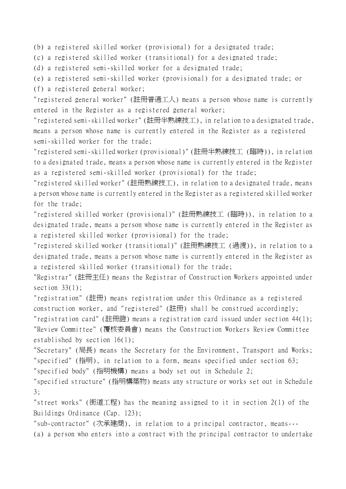(b) a registered skilled worker (provisional) for a designated trade;

(c) a registered skilled worker (transitional) for a designated trade;

(d) a registered semi-skilled worker for a designated trade;

(e) a registered semi-skilled worker (provisional) for a designated trade; or

(f) a registered general worker;

"registered general worker" (註冊普通工㆟) means a person whose name is currently entered in the Register as a registered general worker;

"registered semi-skilled worker" (註冊半熟練技工), in relation to a designated trade, means a person whose name is currently entered in the Register as a registered semi-skilled worker for the trade;

"registered semi-skilled worker (provisional)" (註冊半熟練技工 (臨時)), in relation to a designated trade, means a person whose name is currently entered in the Register as a registered semi-skilled worker (provisional) for the trade;

"registered skilled worker" (註冊熟練技工), in relation to a designated trade, means a person whose name is currently entered in the Register as a registered skilled worker for the trade;

"registered skilled worker (provisional)" (註冊熟練技工 (臨時)), in relation to a designated trade, means a person whose name is currently entered in the Register as a registered skilled worker (provisional) for the trade;

"registered skilled worker (transitional)" (註冊熟練技工 (過渡)), in relation to a designated trade, means a person whose name is currently entered in the Register as a registered skilled worker (transitional) for the trade;

"Registrar" (註冊主任) means the Registrar of Construction Workers appointed under section 33(1);

"registration" (註冊) means registration under this Ordinance as a registered construction worker, and "registered" (註冊) shall be construed accordingly;

"registration card" (註冊證) means a registration card issued under section 44(1); "Review Committee" (覆核委員會) means the Construction Workers Review Committee established by section 16(1);

"Secretary" (局長) means the Secretary for the Environment, Transport and Works; "specified" (指明), in relation to a form, means specified under section 63; "specified body" (指明機構) means a body set out in Schedule 2;

"specified structure" (指明構築物) means any structure or works set out in Schedule 3;

"street works" (街道工程) has the meaning assigned to it in section 2(1) of the Buildings Ordinance (Cap. 123);

"sub-contractor" (次承建商), in relation to a principal contractor, means---

(a) a person who enters into a contract with the principal contractor to undertake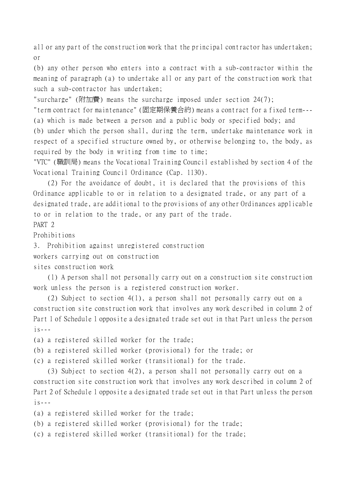all or any part of the construction work that the principal contractor has undertaken; or

(b) any other person who enters into a contract with a sub-contractor within the meaning of paragraph (a) to undertake all or any part of the construction work that such a sub-contractor has undertaken;

"surcharge" (附加費) means the surcharge imposed under section 24(7);

"term contract for maintenance" (固定期保養合約) means a contract for a fixed term--- (a) which is made between a person and a public body or specified body; and

(b) under which the person shall, during the term, undertake maintenance work in respect of a specified structure owned by, or otherwise belonging to, the body, as required by the body in writing from time to time;

"VTC" (職訓局) means the Vocational Training Council established by section 4 of the Vocational Training Council Ordinance (Cap. 1130).

(2) For the avoidance of doubt, it is declared that the provisions of this Ordinance applicable to or in relation to a designated trade, or any part of a designated trade, are additional to the provisions of any other Ordinances applicable to or in relation to the trade, or any part of the trade. PART 2

Prohibitions

3. Prohibition against unregistered construction

workers carrying out on construction

sites construction work

(1) A person shall not personally carry out on a construction site construction work unless the person is a registered construction worker.

(2) Subject to section 4(1), a person shall not personally carry out on a construction site construction work that involves any work described in column 2 of Part 1 of Schedule 1 opposite a designated trade set out in that Part unless the person  $i$ s - - -

(a) a registered skilled worker for the trade;

(b) a registered skilled worker (provisional) for the trade; or

(c) a registered skilled worker (transitional) for the trade.

(3) Subject to section 4(2), a person shall not personally carry out on a construction site construction work that involves any work described in column 2 of Part 2 of Schedule 1 opposite a designated trade set out in that Part unless the person  $i s$ ---

(a) a registered skilled worker for the trade;

(b) a registered skilled worker (provisional) for the trade;

(c) a registered skilled worker (transitional) for the trade;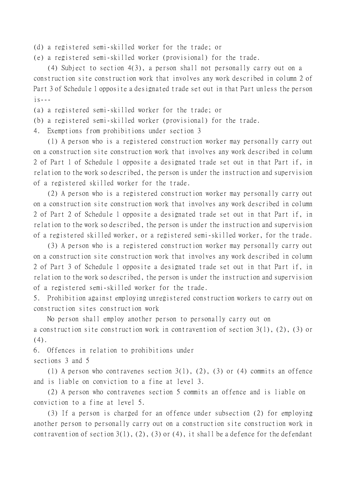(d) a registered semi-skilled worker for the trade; or

(e) a registered semi-skilled worker (provisional) for the trade.

(4) Subject to section 4(3), a person shall not personally carry out on a construction site construction work that involves any work described in column 2 of Part 3 of Schedule 1 opposite a designated trade set out in that Part unless the person  $i$ s - - -

(a) a registered semi-skilled worker for the trade; or

- (b) a registered semi-skilled worker (provisional) for the trade.
- 4. Exemptions from prohibitions under section 3

(1) A person who is a registered construction worker may personally carry out on a construction site construction work that involves any work described in column 2 of Part 1 of Schedule 1 opposite a designated trade set out in that Part if, in relation to the work so described, the person is under the instruction and supervision of a registered skilled worker for the trade.

(2) A person who is a registered construction worker may personally carry out on a construction site construction work that involves any work described in column 2 of Part 2 of Schedule 1 opposite a designated trade set out in that Part if, in relation to the work so described, the person is under the instruction and supervision of a registered skilled worker, or a registered semi-skilled worker, for the trade.

(3) A person who is a registered construction worker may personally carry out on a construction site construction work that involves any work described in column 2 of Part 3 of Schedule 1 opposite a designated trade set out in that Part if, in relation to the work so described, the person is under the instruction and supervision of a registered semi-skilled worker for the trade.

5. Prohibition against employing unregistered construction workers to carry out on construction sites construction work

No person shall employ another person to personally carry out on a construction site construction work in contravention of section 3(1), (2), (3) or (4).

6. Offences in relation to prohibitions under sections 3 and 5

(1) A person who contravenes section 3(1), (2), (3) or (4) commits an offence and is liable on conviction to a fine at level 3.

(2) A person who contravenes section 5 commits an offence and is liable on conviction to a fine at level 5.

(3) If a person is charged for an offence under subsection (2) for employing another person to personally carry out on a construction site construction work in contravention of section  $3(1)$ ,  $(2)$ ,  $(3)$  or  $(4)$ , it shall be a defence for the defendant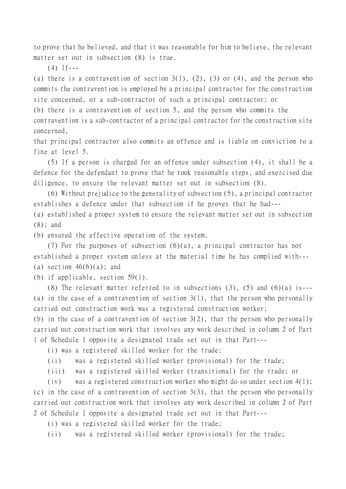to prove that he believed, and that it was reasonable for him to believe, the relevant matter set out in subsection (8) is true.

 $(4)$  If---

(a) there is a contravention of section  $3(1)$ ,  $(2)$ ,  $(3)$  or  $(4)$ , and the person who commits the contravention is employed by a principal contractor for the construction site concerned, or a sub-contractor of such a principal contractor; or

(b) there is a contravention of section 5, and the person who commits the

contravention is a sub-contractor of a principal contractor for the construction site concerned,

that principal contractor also commits an offence and is liable on conviction to a fine at level 5.

(5) If a person is charged for an offence under subsection (4), it shall be a defence for the defendant to prove that he took reasonable steps, and exercised due diligence, to ensure the relevant matter set out in subsection (8).

(6) Without prejudice to the generality of subsection (5), a principal contractor establishes a defence under that subsection if he proves that he had---

(a) established a proper system to ensure the relevant matter set out in subsection (8); and

(b) ensured the effective operation of the system.

(7) For the purposes of subsection  $(6)(a)$ , a principal contractor has not established a proper system unless at the material time he has complied with--- (a) section  $46(6)(a)$ ; and

(b) if applicable, section 59(1).

(8) The relevant matter referred to in subsections  $(3)$ ,  $(5)$  and  $(6)(a)$  is---(a) in the case of a contravention of section  $3(1)$ , that the person who personally carried out construction work was a registered construction worker;

(b) in the case of a contravention of section  $3(2)$ , that the person who personally carried out construction work that involves any work described in column 2 of Part 1 of Schedule 1 opposite a designated trade set out in that Part---

(i) was a registered skilled worker for the trade;

(ii) was a registered skilled worker (provisional) for the trade;

(iii) was a registered skilled worker (transitional) for the trade; or

(iv) was a registered construction worker who might do so under section 4(1); (c) in the case of a contravention of section 3(3), that the person who personally carried out construction work that involves any work described in column 2 of Part 2 of Schedule 1 opposite a designated trade set out in that Part---

(i) was a registered skilled worker for the trade;

(ii) was a registered skilled worker (provisional) for the trade;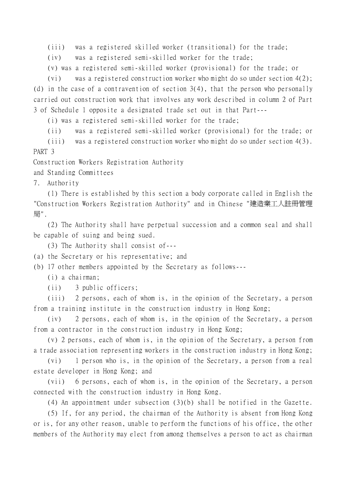(iii) was a registered skilled worker (transitional) for the trade;

(iv) was a registered semi-skilled worker for the trade;

(v) was a registered semi-skilled worker (provisional) for the trade; or

(vi) was a registered construction worker who might do so under section 4(2); (d) in the case of a contravention of section  $3(4)$ , that the person who personally carried out construction work that involves any work described in column 2 of Part 3 of Schedule 1 opposite a designated trade set out in that Part---

(i) was a registered semi-skilled worker for the trade;

(ii) was a registered semi-skilled worker (provisional) for the trade; or

(iii) was a registered construction worker who might do so under section 4(3). PART 3

Construction Workers Registration Authority

and Standing Committees

7. Authority

(1) There is established by this section a body corporate called in English the "Construction Workers Registration Authority" and in Chinese "建造業工㆟註冊管理 局".

(2) The Authority shall have perpetual succession and a common seal and shall be capable of suing and being sued.

(3) The Authority shall consist of---

(a) the Secretary or his representative; and

(b) 17 other members appointed by the Secretary as follows---

(i) a chairman;

(ii) 3 public officers;

(iii) 2 persons, each of whom is, in the opinion of the Secretary, a person from a training institute in the construction industry in Hong Kong;

(iv) 2 persons, each of whom is, in the opinion of the Secretary, a person from a contractor in the construction industry in Hong Kong;

(v) 2 persons, each of whom is, in the opinion of the Secretary, a person from a trade association representing workers in the construction industry in Hong Kong;

(vi) 1 person who is, in the opinion of the Secretary, a person from a real estate developer in Hong Kong; and

(vii) 6 persons, each of whom is, in the opinion of the Secretary, a person connected with the construction industry in Hong Kong.

(4) An appointment under subsection (3)(b) shall be notified in the Gazette.

(5) If, for any period, the chairman of the Authority is absent from Hong Kong or is, for any other reason, unable to perform the functions of his office, the other members of the Authority may elect from among themselves a person to act as chairman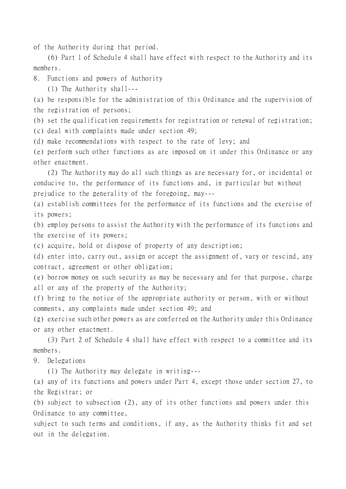of the Authority during that period.

(6) Part 1 of Schedule 4 shall have effect with respect to the Authority and its members.

8. Functions and powers of Authority

(1) The Authority shall---

(a) be responsible for the administration of this Ordinance and the supervision of the registration of persons;

(b) set the qualification requirements for registration or renewal of registration;

(c) deal with complaints made under section 49;

(d) make recommendations with respect to the rate of levy; and

(e) perform such other functions as are imposed on it under this Ordinance or any other enactment.

(2) The Authority may do all such things as are necessary for, or incidental or conducive to, the performance of its functions and, in particular but without prejudice to the generality of the foregoing, may---

(a) establish committees for the performance of its functions and the exercise of its powers;

(b) employ persons to assist the Authority with the performance of its functions and the exercise of its powers;

(c) acquire, hold or dispose of property of any description;

(d) enter into, carry out, assign or accept the assignment of, vary or rescind, any contract, agreement or other obligation;

(e) borrow money on such security as may be necessary and for that purpose, charge all or any of the property of the Authority;

(f) bring to the notice of the appropriate authority or person, with or without comments, any complaints made under section 49; and

(g) exercise such other powers as are conferred on the Authority under this Ordinance or any other enactment.

(3) Part 2 of Schedule 4 shall have effect with respect to a committee and its members.

9. Delegations

(1) The Authority may delegate in writing---

(a) any of its functions and powers under Part 4, except those under section 27, to the Registrar; or

(b) subject to subsection (2), any of its other functions and powers under this Ordinance to any committee,

subject to such terms and conditions, if any, as the Authority thinks fit and set out in the delegation.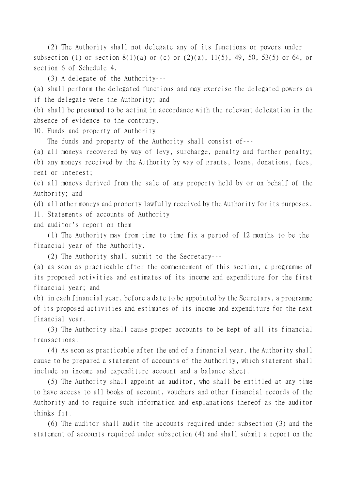(2) The Authority shall not delegate any of its functions or powers under subsection (1) or section  $8(1)(a)$  or (c) or  $(2)(a)$ ,  $11(5)$ , 49, 50, 53(5) or 64, or section 6 of Schedule 4.

(3) A delegate of the Authority---

(a) shall perform the delegated functions and may exercise the delegated powers as if the delegate were the Authority; and

(b) shall be presumed to be acting in accordance with the relevant delegation in the absence of evidence to the contrary.

10. Funds and property of Authority

The funds and property of the Authority shall consist of---

(a) all moneys recovered by way of levy, surcharge, penalty and further penalty;

(b) any moneys received by the Authority by way of grants, loans, donations, fees, rent or interest;

(c) all moneys derived from the sale of any property held by or on behalf of the Authority; and

(d) all other moneys and property lawfully received by the Authority for its purposes.

11. Statements of accounts of Authority

and auditor's report on them

(1) The Authority may from time to time fix a period of 12 months to be the financial year of the Authority.

(2) The Authority shall submit to the Secretary---

(a) as soon as practicable after the commencement of this section, a programme of its proposed activities and estimates of its income and expenditure for the first financial year; and

(b) in each financial year, before a date to be appointed by the Secretary, a programme of its proposed activities and estimates of its income and expenditure for the next financial year.

(3) The Authority shall cause proper accounts to be kept of all its financial transactions.

(4) As soon as practicable after the end of a financial year, the Authority shall cause to be prepared a statement of accounts of the Authority, which statement shall include an income and expenditure account and a balance sheet.

(5) The Authority shall appoint an auditor, who shall be entitled at any time to have access to all books of account, vouchers and other financial records of the Authority and to require such information and explanations thereof as the auditor thinks fit.

(6) The auditor shall audit the accounts required under subsection (3) and the statement of accounts required under subsection (4) and shall submit a report on the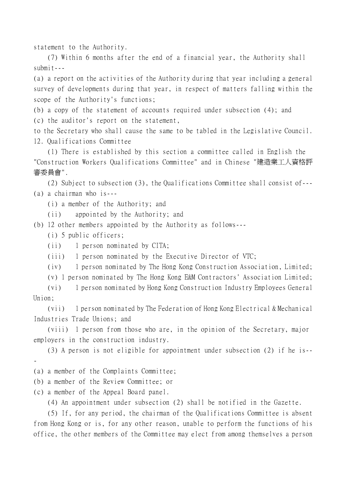statement to the Authority.

(7) Within 6 months after the end of a financial year, the Authority shall submit---

(a) a report on the activities of the Authority during that year including a general survey of developments during that year, in respect of matters falling within the scope of the Authority's functions;

(b) a copy of the statement of accounts required under subsection (4); and

(c) the auditor's report on the statement,

to the Secretary who shall cause the same to be tabled in the Legislative Council. 12. Qualifications Committee

(1) There is established by this section a committee called in English the "Construction Workers Qualifications Committee" and in Chinese "建造業工㆟資格評 審委員會".

(2) Subject to subsection (3), the Qualifications Committee shall consist of--- (a) a chairman who is---

(i) a member of the Authority; and

(ii) appointed by the Authority; and

(b) 12 other members appointed by the Authority as follows---

(i) 5 public officers;

(ii) 1 person nominated by CITA;

(iii) 1 person nominated by the Executive Director of VTC;

(iv) 1 person nominated by The Hong Kong Construction Association, Limited;

(v) 1 person nominated by The Hong Kong E&M Contractors' Association Limited;

(vi) 1 person nominated by Hong Kong Construction Industry Employees General Union;

(vii) 1 person nominated by The Federation of Hong Kong Electrical & Mechanical Industries Trade Unions; and

(viii) 1 person from those who are, in the opinion of the Secretary, major employers in the construction industry.

(3) A person is not eligible for appointment under subsection (2) if he is-- -

(a) a member of the Complaints Committee;

(b) a member of the Review Committee; or

(c) a member of the Appeal Board panel.

(4) An appointment under subsection (2) shall be notified in the Gazette.

(5) If, for any period, the chairman of the Qualifications Committee is absent from Hong Kong or is, for any other reason, unable to perform the functions of his office, the other members of the Committee may elect from among themselves a person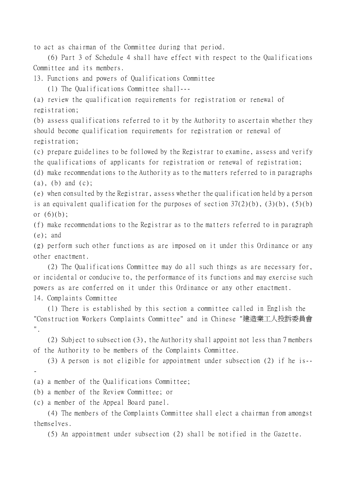to act as chairman of the Committee during that period.

(6) Part 3 of Schedule 4 shall have effect with respect to the Qualifications Committee and its members.

13. Functions and powers of Qualifications Committee

(1) The Qualifications Committee shall---

(a) review the qualification requirements for registration or renewal of registration;

(b) assess qualifications referred to it by the Authority to ascertain whether they should become qualification requirements for registration or renewal of registration;

(c) prepare guidelines to be followed by the Registrar to examine, assess and verify the qualifications of applicants for registration or renewal of registration;

(d) make recommendations to the Authority as to the matters referred to in paragraphs (a), (b) and (c);

(e) when consulted by the Registrar, assess whether the qualification held by a person is an equivalent qualification for the purposes of section  $37(2)(b)$ ,  $(3)(b)$ ,  $(5)(b)$ or  $(6)(b)$ ;

(f) make recommendations to the Registrar as to the matters referred to in paragraph (e); and

(g) perform such other functions as are imposed on it under this Ordinance or any other enactment.

(2) The Qualifications Committee may do all such things as are necessary for, or incidental or conducive to, the performance of its functions and may exercise such powers as are conferred on it under this Ordinance or any other enactment. 14. Complaints Committee

(1) There is established by this section a committee called in English the "Construction Workers Complaints Committee" and in Chinese "建造業工㆟投訴委員會 ".

(2) Subject to subsection (3), the Authority shall appoint not less than 7 members of the Authority to be members of the Complaints Committee.

(3) A person is not eligible for appointment under subsection (2) if he is-- -

(a) a member of the Qualifications Committee;

(b) a member of the Review Committee; or

(c) a member of the Appeal Board panel.

(4) The members of the Complaints Committee shall elect a chairman from amongst themselves.

(5) An appointment under subsection (2) shall be notified in the Gazette.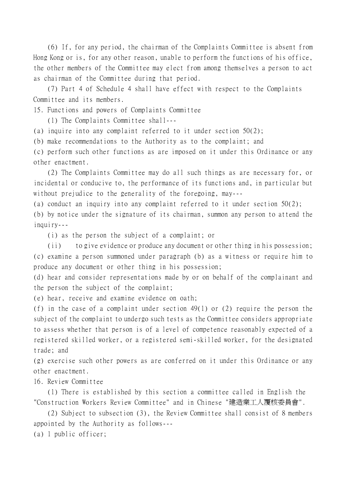(6) If, for any period, the chairman of the Complaints Committee is absent from Hong Kong or is, for any other reason, unable to perform the functions of his office, the other members of the Committee may elect from among themselves a person to act as chairman of the Committee during that period.

(7) Part 4 of Schedule 4 shall have effect with respect to the Complaints Committee and its members.

15. Functions and powers of Complaints Committee

(1) The Complaints Committee shall---

(a) inquire into any complaint referred to it under section 50(2);

(b) make recommendations to the Authority as to the complaint; and

(c) perform such other functions as are imposed on it under this Ordinance or any other enactment.

(2) The Complaints Committee may do all such things as are necessary for, or incidental or conducive to, the performance of its functions and, in particular but without prejudice to the generality of the foregoing, may---

(a) conduct an inquiry into any complaint referred to it under section 50(2);

(b) by notice under the signature of its chairman, summon any person to attend the inquiry---

(i) as the person the subject of a complaint; or

(ii) to give evidence or produce any document or other thing in his possession; (c) examine a person summoned under paragraph (b) as a witness or require him to produce any document or other thing in his possession;

(d) hear and consider representations made by or on behalf of the complainant and the person the subject of the complaint;

(e) hear, receive and examine evidence on oath;

(f) in the case of a complaint under section 49(1) or (2) require the person the subject of the complaint to undergo such tests as the Committee considers appropriate to assess whether that person is of a level of competence reasonably expected of a registered skilled worker, or a registered semi-skilled worker, for the designated trade; and

(g) exercise such other powers as are conferred on it under this Ordinance or any other enactment.

16. Review Committee

(1) There is established by this section a committee called in English the "Construction Workers Review Committee" and in Chinese "建造業工㆟覆核委員會".

(2) Subject to subsection (3), the Review Committee shall consist of 8 members appointed by the Authority as follows---

(a) 1 public officer;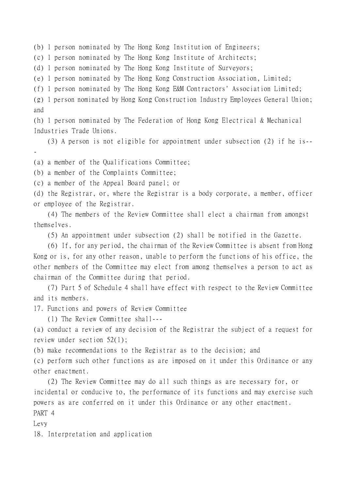(b) 1 person nominated by The Hong Kong Institution of Engineers;

(c) 1 person nominated by The Hong Kong Institute of Architects;

(d) 1 person nominated by The Hong Kong Institute of Surveyors;

(e) 1 person nominated by The Hong Kong Construction Association, Limited;

(f) 1 person nominated by The Hong Kong E&M Contractors' Association Limited;

(g) 1 person nominated by Hong Kong Construction Industry Employees General Union; and

(h) 1 person nominated by The Federation of Hong Kong Electrical & Mechanical Industries Trade Unions.

(3) A person is not eligible for appointment under subsection (2) if he is--

(a) a member of the Qualifications Committee;

(b) a member of the Complaints Committee;

(c) a member of the Appeal Board panel; or

(d) the Registrar, or, where the Registrar is a body corporate, a member, officer or employee of the Registrar.

(4) The members of the Review Committee shall elect a chairman from amongst themselves.

(5) An appointment under subsection (2) shall be notified in the Gazette.

(6) If, for any period, the chairman of the Review Committee is absent from Hong Kong or is, for any other reason, unable to perform the functions of his office, the other members of the Committee may elect from among themselves a person to act as chairman of the Committee during that period.

(7) Part 5 of Schedule 4 shall have effect with respect to the Review Committee and its members.

17. Functions and powers of Review Committee

(1) The Review Committee shall---

(a) conduct a review of any decision of the Registrar the subject of a request for review under section 52(1);

(b) make recommendations to the Registrar as to the decision; and

(c) perform such other functions as are imposed on it under this Ordinance or any other enactment.

(2) The Review Committee may do all such things as are necessary for, or incidental or conducive to, the performance of its functions and may exercise such powers as are conferred on it under this Ordinance or any other enactment. PART 4

Levy

-

18. Interpretation and application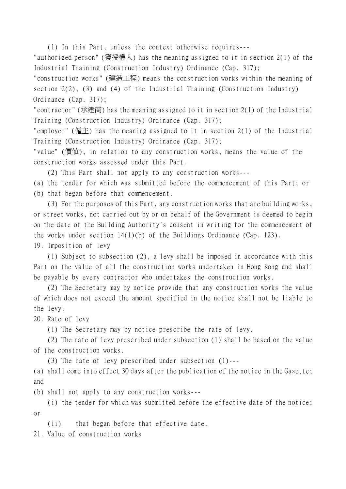(1) In this Part, unless the context otherwise requires---

"authorized person" (獲授權㆟) has the meaning assigned to it in section 2(1) of the Industrial Training (Construction Industry) Ordinance (Cap. 317);

"construction works" (建造工程) means the construction works within the meaning of section 2(2), (3) and (4) of the Industrial Training (Construction Industry) Ordinance (Cap. 317);

"contractor" (承建商) has the meaning assigned to it in section 2(1) of the Industrial Training (Construction Industry) Ordinance (Cap. 317);

"employer" (僱主) has the meaning assigned to it in section 2(1) of the Industrial Training (Construction Industry) Ordinance (Cap. 317);

"value" (價值), in relation to any construction works, means the value of the construction works assessed under this Part.

(2) This Part shall not apply to any construction works---

(a) the tender for which was submitted before the commencement of this Part; or (b) that began before that commencement.

(3) For the purposes of this Part, any construction works that are building works, or street works, not carried out by or on behalf of the Government is deemed to begin on the date of the Building Authority's consent in writing for the commencement of the works under section 14(1)(b) of the Buildings Ordinance (Cap. 123).

19. Imposition of levy

(1) Subject to subsection (2), a levy shall be imposed in accordance with this Part on the value of all the construction works undertaken in Hong Kong and shall be payable by every contractor who undertakes the construction works.

(2) The Secretary may by notice provide that any construction works the value of which does not exceed the amount specified in the notice shall not be liable to the levy.

20. Rate of levy

(1) The Secretary may by notice prescribe the rate of levy.

(2) The rate of levy prescribed under subsection (1) shall be based on the value of the construction works.

(3) The rate of levy prescribed under subsection (1)---

(a) shall come into effect 30 days after the publication of the notice in the Gazette; and

(b) shall not apply to any construction works---

(i) the tender for which was submitted before the effective date of the notice; or

(ii) that began before that effective date.

21. Value of construction works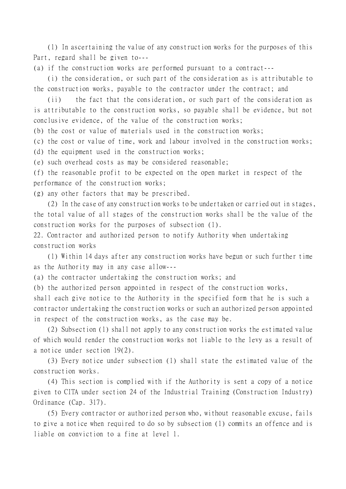(1) In ascertaining the value of any construction works for the purposes of this Part, regard shall be given to---

(a) if the construction works are performed pursuant to a contract---

(i) the consideration, or such part of the consideration as is attributable to the construction works, payable to the contractor under the contract; and

(ii) the fact that the consideration, or such part of the consideration as is attributable to the construction works, so payable shall be evidence, but not conclusive evidence, of the value of the construction works;

(b) the cost or value of materials used in the construction works;

(c) the cost or value of time, work and labour involved in the construction works;

(d) the equipment used in the construction works;

(e) such overhead costs as may be considered reasonable;

(f) the reasonable profit to be expected on the open market in respect of the performance of the construction works;

(g) any other factors that may be prescribed.

(2) In the case of any construction works to be undertaken or carried out in stages, the total value of all stages of the construction works shall be the value of the construction works for the purposes of subsection (1).

22. Contractor and authorized person to notify Authority when undertaking construction works

(1) Within 14 days after any construction works have begun or such further time as the Authority may in any case allow---

(a) the contractor undertaking the construction works; and

(b) the authorized person appointed in respect of the construction works,

shall each give notice to the Authority in the specified form that he is such a contractor undertaking the construction works or such an authorized person appointed in respect of the construction works, as the case may be.

(2) Subsection (1) shall not apply to any construction works the estimated value of which would render the construction works not liable to the levy as a result of a notice under section 19(2).

(3) Every notice under subsection (1) shall state the estimated value of the construction works.

(4) This section is complied with if the Authority is sent a copy of a notice given to CITA under section 24 of the Industrial Training (Construction Industry) Ordinance (Cap. 317).

(5) Every contractor or authorized person who, without reasonable excuse, fails to give a notice when required to do so by subsection (1) commits an offence and is liable on conviction to a fine at level 1.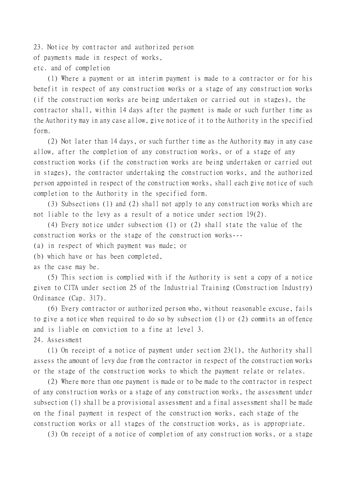23. Notice by contractor and authorized person of payments made in respect of works, etc. and of completion

(1) Where a payment or an interim payment is made to a contractor or for his benefit in respect of any construction works or a stage of any construction works (if the construction works are being undertaken or carried out in stages), the contractor shall, within 14 days after the payment is made or such further time as the Authority may in any case allow, give notice of it to the Authority in the specified form.

(2) Not later than 14 days, or such further time as the Authority may in any case allow, after the completion of any construction works, or of a stage of any construction works (if the construction works are being undertaken or carried out in stages), the contractor undertaking the construction works, and the authorized person appointed in respect of the construction works, shall each give notice of such completion to the Authority in the specified form.

(3) Subsections (1) and (2) shall not apply to any construction works which are not liable to the levy as a result of a notice under section 19(2).

(4) Every notice under subsection (1) or (2) shall state the value of the construction works or the stage of the construction works---

(a) in respect of which payment was made; or

(b) which have or has been completed,

as the case may be.

(5) This section is complied with if the Authority is sent a copy of a notice given to CITA under section 25 of the Industrial Training (Construction Industry) Ordinance (Cap. 317).

(6) Every contractor or authorized person who, without reasonable excuse, fails to give a notice when required to do so by subsection (1) or (2) commits an offence and is liable on conviction to a fine at level 3.

24. Assessment

(1) On receipt of a notice of payment under section 23(1), the Authority shall assess the amount of levy due from the contractor in respect of the construction works or the stage of the construction works to which the payment relate or relates.

(2) Where more than one payment is made or to be made to the contractor in respect of any construction works or a stage of any construction works, the assessment under subsection (1) shall be a provisional assessment and a final assessment shall be made on the final payment in respect of the construction works, each stage of the construction works or all stages of the construction works, as is appropriate.

(3) On receipt of a notice of completion of any construction works, or a stage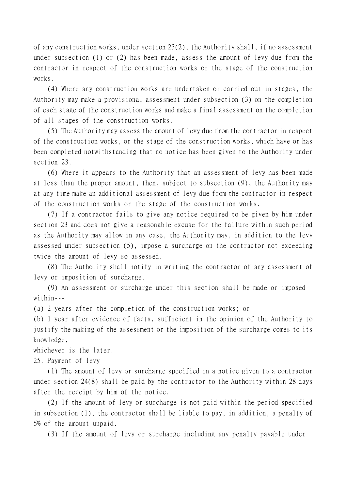of any construction works, under section 23(2), the Authority shall, if no assessment under subsection (1) or (2) has been made, assess the amount of levy due from the contractor in respect of the construction works or the stage of the construction works.

(4) Where any construction works are undertaken or carried out in stages, the Authority may make a provisional assessment under subsection (3) on the completion of each stage of the construction works and make a final assessment on the completion of all stages of the construction works.

(5) The Authority may assess the amount of levy due from the contractor in respect of the construction works, or the stage of the construction works, which have or has been completed notwithstanding that no notice has been given to the Authority under section 23.

(6) Where it appears to the Authority that an assessment of levy has been made at less than the proper amount, then, subject to subsection (9), the Authority may at any time make an additional assessment of levy due from the contractor in respect of the construction works or the stage of the construction works.

(7) If a contractor fails to give any notice required to be given by him under section 23 and does not give a reasonable excuse for the failure within such period as the Authority may allow in any case, the Authority may, in addition to the levy assessed under subsection (5), impose a surcharge on the contractor not exceeding twice the amount of levy so assessed.

(8) The Authority shall notify in writing the contractor of any assessment of levy or imposition of surcharge.

(9) An assessment or surcharge under this section shall be made or imposed within---

(a) 2 years after the completion of the construction works; or

(b) 1 year after evidence of facts, sufficient in the opinion of the Authority to justify the making of the assessment or the imposition of the surcharge comes to its knowledge,

whichever is the later.

25. Payment of levy

(1) The amount of levy or surcharge specified in a notice given to a contractor under section 24(8) shall be paid by the contractor to the Authority within 28 days after the receipt by him of the notice.

(2) If the amount of levy or surcharge is not paid within the period specified in subsection (1), the contractor shall be liable to pay, in addition, a penalty of 5% of the amount unpaid.

(3) If the amount of levy or surcharge including any penalty payable under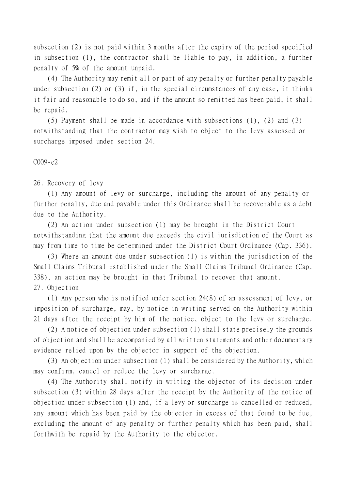subsection (2) is not paid within 3 months after the expiry of the period specified in subsection (1), the contractor shall be liable to pay, in addition, a further penalty of 5% of the amount unpaid.

(4) The Authority may remit all or part of any penalty or further penalty payable under subsection (2) or (3) if, in the special circumstances of any case, it thinks it fair and reasonable to do so, and if the amount so remitted has been paid, it shall be repaid.

(5) Payment shall be made in accordance with subsections (1), (2) and (3) notwithstanding that the contractor may wish to object to the levy assessed or surcharge imposed under section 24.

C009-e2

26. Recovery of levy

(1) Any amount of levy or surcharge, including the amount of any penalty or further penalty, due and payable under this Ordinance shall be recoverable as a debt due to the Authority.

(2) An action under subsection (1) may be brought in the District Court notwithstanding that the amount due exceeds the civil jurisdiction of the Court as may from time to time be determined under the District Court Ordinance (Cap. 336).

(3) Where an amount due under subsection (1) is within the jurisdiction of the Small Claims Tribunal established under the Small Claims Tribunal Ordinance (Cap. 338), an action may be brought in that Tribunal to recover that amount. 27. Objection

(1) Any person who is notified under section 24(8) of an assessment of levy, or imposition of surcharge, may, by notice in writing served on the Authority within 21 days after the receipt by him of the notice, object to the levy or surcharge.

(2) A notice of objection under subsection (1) shall state precisely the grounds of objection and shall be accompanied by all written statements and other documentary evidence relied upon by the objector in support of the objection.

(3) An objection under subsection (1) shall be considered by the Authority, which may confirm, cancel or reduce the levy or surcharge.

(4) The Authority shall notify in writing the objector of its decision under subsection (3) within 28 days after the receipt by the Authority of the notice of objection under subsection (1) and, if a levy or surcharge is cancelled or reduced, any amount which has been paid by the objector in excess of that found to be due, excluding the amount of any penalty or further penalty which has been paid, shall forthwith be repaid by the Authority to the objector.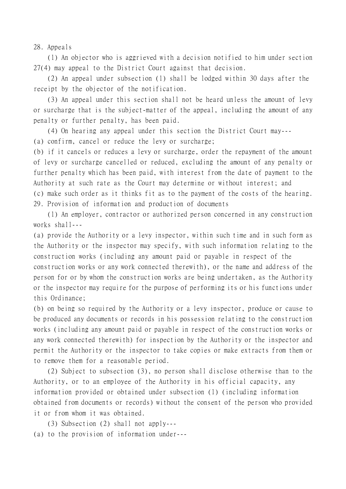28. Appeals

(1) An objector who is aggrieved with a decision notified to him under section 27(4) may appeal to the District Court against that decision.

(2) An appeal under subsection (1) shall be lodged within 30 days after the receipt by the objector of the notification.

(3) An appeal under this section shall not be heard unless the amount of levy or surcharge that is the subject-matter of the appeal, including the amount of any penalty or further penalty, has been paid.

(4) On hearing any appeal under this section the District Court may---

(a) confirm, cancel or reduce the levy or surcharge;

(b) if it cancels or reduces a levy or surcharge, order the repayment of the amount of levy or surcharge cancelled or reduced, excluding the amount of any penalty or further penalty which has been paid, with interest from the date of payment to the Authority at such rate as the Court may determine or without interest; and (c) make such order as it thinks fit as to the payment of the costs of the hearing. 29. Provision of information and production of documents

(1) An employer, contractor or authorized person concerned in any construction works shall---

(a) provide the Authority or a levy inspector, within such time and in such form as the Authority or the inspector may specify, with such information relating to the construction works (including any amount paid or payable in respect of the construction works or any work connected therewith), or the name and address of the person for or by whom the construction works are being undertaken, as the Authority or the inspector may require for the purpose of performing its or his functions under this Ordinance;

(b) on being so required by the Authority or a levy inspector, produce or cause to be produced any documents or records in his possession relating to the construction works (including any amount paid or payable in respect of the construction works or any work connected therewith) for inspection by the Authority or the inspector and permit the Authority or the inspector to take copies or make extracts from them or to remove them for a reasonable period.

(2) Subject to subsection (3), no person shall disclose otherwise than to the Authority, or to an employee of the Authority in his official capacity, any information provided or obtained under subsection (1) (including information obtained from documents or records) without the consent of the person who provided it or from whom it was obtained.

(3) Subsection (2) shall not apply--- (a) to the provision of information under---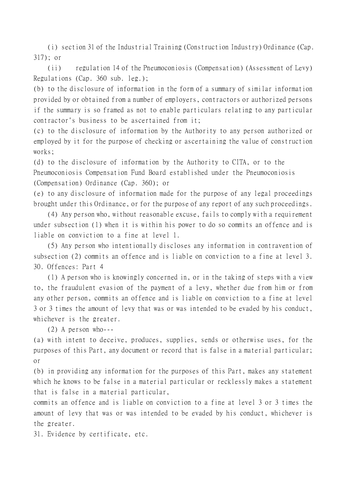(i) section 31 of the Industrial Training (Construction Industry) Ordinance (Cap. 317); or

(ii) regulation 14 of the Pneumoconiosis (Compensation) (Assessment of Levy) Regulations (Cap. 360 sub. leg.);

(b) to the disclosure of information in the form of a summary of similar information provided by or obtained from a number of employers, contractors or authorized persons if the summary is so framed as not to enable particulars relating to any particular contractor's business to be ascertained from it;

(c) to the disclosure of information by the Authority to any person authorized or employed by it for the purpose of checking or ascertaining the value of construction works;

(d) to the disclosure of information by the Authority to CITA, or to the Pneumoconiosis Compensation Fund Board established under the Pneumoconiosis (Compensation) Ordinance (Cap. 360); or

(e) to any disclosure of information made for the purpose of any legal proceedings brought under this Ordinance, or for the purpose of any report of any such proceedings.

(4) Any person who, without reasonable excuse, fails to comply with a requirement under subsection (1) when it is within his power to do so commits an offence and is liable on conviction to a fine at level 1.

(5) Any person who intentionally discloses any information in contravention of subsection (2) commits an offence and is liable on conviction to a fine at level 3. 30. Offences: Part 4

(1) A person who is knowingly concerned in, or in the taking of steps with a view to, the fraudulent evasion of the payment of a levy, whether due from him or from any other person, commits an offence and is liable on conviction to a fine at level 3 or 3 times the amount of levy that was or was intended to be evaded by his conduct, whichever is the greater.

(2) A person who---

(a) with intent to deceive, produces, supplies, sends or otherwise uses, for the purposes of this Part, any document or record that is false in a material particular; or

(b) in providing any information for the purposes of this Part, makes any statement which he knows to be false in a material particular or recklessly makes a statement that is false in a material particular,

commits an offence and is liable on conviction to a fine at level 3 or 3 times the amount of levy that was or was intended to be evaded by his conduct, whichever is the greater.

31. Evidence by certificate, etc.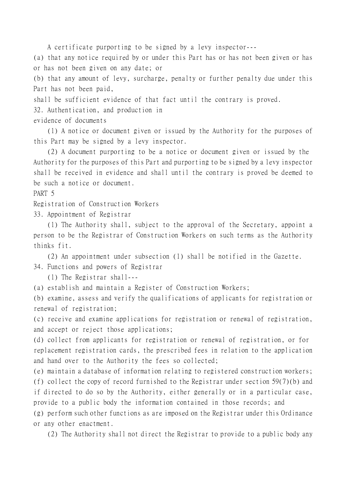A certificate purporting to be signed by a levy inspector---

(a) that any notice required by or under this Part has or has not been given or has or has not been given on any date; or

(b) that any amount of levy, surcharge, penalty or further penalty due under this Part has not been paid,

shall be sufficient evidence of that fact until the contrary is proved.

32. Authentication, and production in

evidence of documents

(1) A notice or document given or issued by the Authority for the purposes of this Part may be signed by a levy inspector.

(2) A document purporting to be a notice or document given or issued by the Authority for the purposes of this Part and purporting to be signed by a levy inspector shall be received in evidence and shall until the contrary is proved be deemed to be such a notice or document.

PART 5

Registration of Construction Workers

33. Appointment of Registrar

(1) The Authority shall, subject to the approval of the Secretary, appoint a person to be the Registrar of Construction Workers on such terms as the Authority thinks fit.

(2) An appointment under subsection (1) shall be notified in the Gazette. 34. Functions and powers of Registrar

(1) The Registrar shall---

(a) establish and maintain a Register of Construction Workers;

(b) examine, assess and verify the qualifications of applicants for registration or renewal of registration;

(c) receive and examine applications for registration or renewal of registration, and accept or reject those applications;

(d) collect from applicants for registration or renewal of registration, or for replacement registration cards, the prescribed fees in relation to the application and hand over to the Authority the fees so collected;

(e) maintain a database of information relating to registered construction workers; (f) collect the copy of record furnished to the Registrar under section 59(7)(b) and if directed to do so by the Authority, either generally or in a particular case, provide to a public body the information contained in those records; and (g) perform such other functions as are imposed on the Registrar under this Ordinance

or any other enactment.

(2) The Authority shall not direct the Registrar to provide to a public body any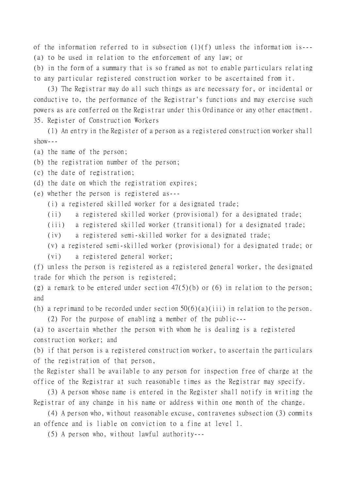of the information referred to in subsection (1)(f) unless the information is--- (a) to be used in relation to the enforcement of any law; or

(b) in the form of a summary that is so framed as not to enable particulars relating to any particular registered construction worker to be ascertained from it.

(3) The Registrar may do all such things as are necessary for, or incidental or conductive to, the performance of the Registrar's functions and may exercise such powers as are conferred on the Registrar under this Ordinance or any other enactment. 35. Register of Construction Workers

(1) An entry in the Register of a person as a registered construction worker shall  $show--$ 

(a) the name of the person;

(b) the registration number of the person;

(c) the date of registration;

(d) the date on which the registration expires;

(e) whether the person is registered as---

(i) a registered skilled worker for a designated trade;

(ii) a registered skilled worker (provisional) for a designated trade;

(iii) a registered skilled worker (transitional) for a designated trade;

(iv) a registered semi-skilled worker for a designated trade;

(v) a registered semi-skilled worker (provisional) for a designated trade; or (vi) a registered general worker;

(f) unless the person is registered as a registered general worker, the designated trade for which the person is registered;

(g) a remark to be entered under section  $47(5)(b)$  or (6) in relation to the person; and

(h) a reprimand to be recorded under section 50(6)(a)(iii) in relation to the person.

(2) For the purpose of enabling a member of the public---

(a) to ascertain whether the person with whom he is dealing is a registered construction worker; and

(b) if that person is a registered construction worker, to ascertain the particulars of the registration of that person,

the Register shall be available to any person for inspection free of charge at the office of the Registrar at such reasonable times as the Registrar may specify.

(3) A person whose name is entered in the Register shall notify in writing the Registrar of any change in his name or address within one month of the change.

(4) A person who, without reasonable excuse, contravenes subsection (3) commits an offence and is liable on conviction to a fine at level 1.

(5) A person who, without lawful authority---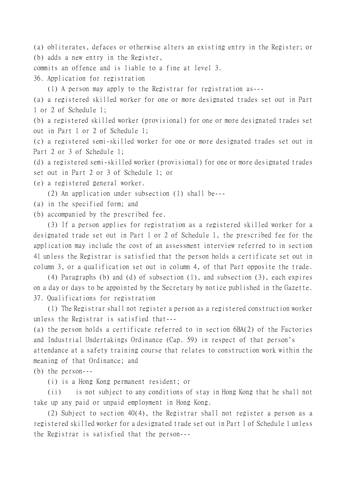(a) obliterates, defaces or otherwise alters an existing entry in the Register; or (b) adds a new entry in the Register,

commits an offence and is liable to a fine at level 3.

36. Application for registration

(1) A person may apply to the Registrar for registration as---

(a) a registered skilled worker for one or more designated trades set out in Part 1 or 2 of Schedule 1;

(b) a registered skilled worker (provisional) for one or more designated trades set out in Part 1 or 2 of Schedule 1;

(c) a registered semi-skilled worker for one or more designated trades set out in Part 2 or 3 of Schedule 1;

(d) a registered semi-skilled worker (provisional) for one or more designated trades

set out in Part 2 or 3 of Schedule 1; or

(e) a registered general worker.

(2) An application under subsection (1) shall be---

(a) in the specified form; and

(b) accompanied by the prescribed fee.

(3) If a person applies for registration as a registered skilled worker for a designated trade set out in Part 1 or 2 of Schedule 1, the prescribed fee for the application may include the cost of an assessment interview referred to in section 41 unless the Registrar is satisfied that the person holds a certificate set out in column 3, or a qualification set out in column 4, of that Part opposite the trade.

(4) Paragraphs (b) and (d) of subsection (1), and subsection (3), each expires on a day or days to be appointed by the Secretary by notice published in the Gazette. 37. Qualifications for registration

(1) The Registrar shall not register a person as a registered construction worker unless the Registrar is satisfied that---

(a) the person holds a certificate referred to in section 6BA(2) of the Factories and Industrial Undertakings Ordinance (Cap. 59) in respect of that person's attendance at a safety training course that relates to construction work within the meaning of that Ordinance; and

(b) the person---

(i) is a Hong Kong permanent resident; or

(ii) is not subject to any conditions of stay in Hong Kong that he shall not take up any paid or unpaid employment in Hong Kong.

(2) Subject to section 40(4), the Registrar shall not register a person as a registered skilled worker for a designated trade set out in Part 1 of Schedule 1 unless the Registrar is satisfied that the person---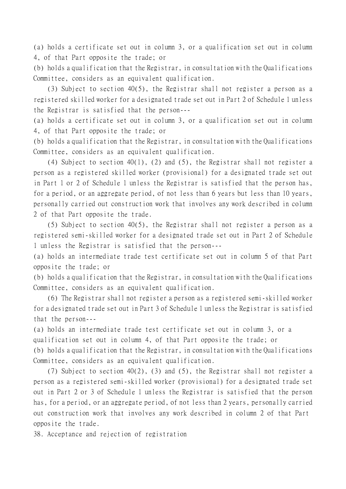(a) holds a certificate set out in column 3, or a qualification set out in column 4, of that Part opposite the trade; or

(b) holds a qualification that the Registrar, in consultation with the Qualifications Committee, considers as an equivalent qualification.

(3) Subject to section 40(5), the Registrar shall not register a person as a registered skilled worker for a designated trade set out in Part 2 of Schedule 1 unless the Registrar is satisfied that the person---

(a) holds a certificate set out in column 3, or a qualification set out in column 4, of that Part opposite the trade; or

(b) holds a qualification that the Registrar, in consultation with the Qualifications Committee, considers as an equivalent qualification.

(4) Subject to section 40(1), (2) and (5), the Registrar shall not register a person as a registered skilled worker (provisional) for a designated trade set out in Part 1 or 2 of Schedule 1 unless the Registrar is satisfied that the person has, for a period, or an aggregate period, of not less than 6 years but less than 10 years, personally carried out construction work that involves any work described in column 2 of that Part opposite the trade.

(5) Subject to section 40(5), the Registrar shall not register a person as a registered semi-skilled worker for a designated trade set out in Part 2 of Schedule 1 unless the Registrar is satisfied that the person---

(a) holds an intermediate trade test certificate set out in column 5 of that Part opposite the trade; or

(b) holds a qualification that the Registrar, in consultation with the Qualifications Committee, considers as an equivalent qualification.

(6) The Registrar shall not register a person as a registered semi-skilled worker for a designated trade set out in Part 3 of Schedule 1 unless the Registrar is satisfied that the person---

(a) holds an intermediate trade test certificate set out in column 3, or a qualification set out in column 4, of that Part opposite the trade; or (b) holds a qualification that the Registrar, in consultation with the Qualifications Committee, considers as an equivalent qualification.

(7) Subject to section 40(2), (3) and (5), the Registrar shall not register a person as a registered semi-skilled worker (provisional) for a designated trade set out in Part 2 or 3 of Schedule 1 unless the Registrar is satisfied that the person has, for a period, or an aggregate period, of not less than 2 years, personally carried out construction work that involves any work described in column 2 of that Part opposite the trade.

38. Acceptance and rejection of registration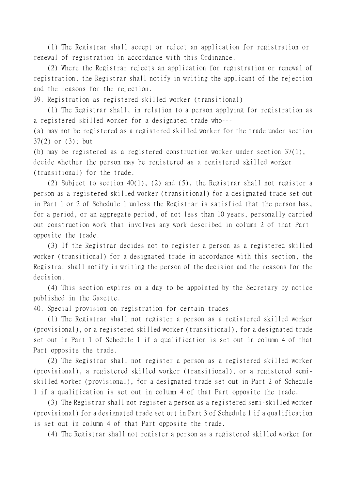(1) The Registrar shall accept or reject an application for registration or renewal of registration in accordance with this Ordinance.

(2) Where the Registrar rejects an application for registration or renewal of registration, the Registrar shall notify in writing the applicant of the rejection and the reasons for the rejection.

39. Registration as registered skilled worker (transitional)

(1) The Registrar shall, in relation to a person applying for registration as a registered skilled worker for a designated trade who---

(a) may not be registered as a registered skilled worker for the trade under section 37(2) or (3); but

(b) may be registered as a registered construction worker under section 37(1), decide whether the person may be registered as a registered skilled worker (transitional) for the trade.

(2) Subject to section 40(1), (2) and (5), the Registrar shall not register a person as a registered skilled worker (transitional) for a designated trade set out in Part 1 or 2 of Schedule 1 unless the Registrar is satisfied that the person has, for a period, or an aggregate period, of not less than 10 years, personally carried out construction work that involves any work described in column 2 of that Part opposite the trade.

(3) If the Registrar decides not to register a person as a registered skilled worker (transitional) for a designated trade in accordance with this section, the Registrar shall notify in writing the person of the decision and the reasons for the decision.

(4) This section expires on a day to be appointed by the Secretary by notice published in the Gazette.

40. Special provision on registration for certain trades

(1) The Registrar shall not register a person as a registered skilled worker (provisional), or a registered skilled worker (transitional), for a designated trade set out in Part 1 of Schedule 1 if a qualification is set out in column 4 of that Part opposite the trade.

(2) The Registrar shall not register a person as a registered skilled worker (provisional), a registered skilled worker (transitional), or a registered semiskilled worker (provisional), for a designated trade set out in Part 2 of Schedule 1 if a qualification is set out in column 4 of that Part opposite the trade.

(3) The Registrar shall not register a person as a registered semi-skilled worker (provisional) for a designated trade set out in Part 3 of Schedule 1 if a qualification is set out in column 4 of that Part opposite the trade.

(4) The Registrar shall not register a person as a registered skilled worker for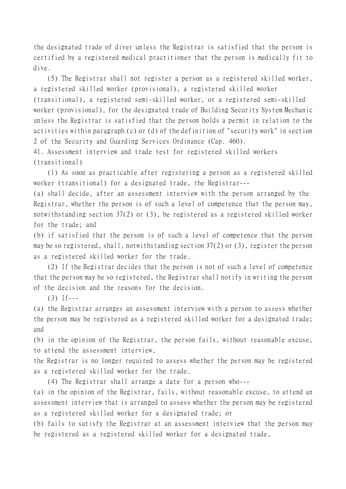the designated trade of diver unless the Registrar is satisfied that the person is certified by a registered medical practitioner that the person is medically fit to dive.

(5) The Registrar shall not register a person as a registered skilled worker, a registered skilled worker (provisional), a registered skilled worker (transitional), a registered semi-skilled worker, or a registered semi-skilled worker (provisional), for the designated trade of Building Security System Mechanic unless the Registrar is satisfied that the person holds a permit in relation to the activities within paragraph (c) or (d) of the definition of "security work" in section 2 of the Security and Guarding Services Ordinance (Cap. 460).

41. Assessment interview and trade test for registered skilled workers (transitional)

(1) As soon as practicable after registering a person as a registered skilled worker (transitional) for a designated trade, the Registrar---

(a) shall decide, after an assessment interview with the person arranged by the Registrar, whether the person is of such a level of competence that the person may, notwithstanding section 37(2) or (3), be registered as a registered skilled worker for the trade; and

(b) if satisfied that the person is of such a level of competence that the person may be so registered, shall, notwithstanding section 37(2) or (3), register the person as a registered skilled worker for the trade.

(2) If the Registrar decides that the person is not of such a level of competence that the person may be so registered, the Registrar shall notify in writing the person of the decision and the reasons for the decision.

 $(3)$  If---

(a) the Registrar arranges an assessment interview with a person to assess whether the person may be registered as a registered skilled worker for a designated trade; and

(b) in the opinion of the Registrar, the person fails, without reasonable excuse, to attend the assessment interview,

the Registrar is no longer required to assess whether the person may be registered as a registered skilled worker for the trade.

(4) The Registrar shall arrange a date for a person who---

(a) in the opinion of the Registrar, fails, without reasonable excuse, to attend an assessment interview that is arranged to assess whether the person may be registered as a registered skilled worker for a designated trade; or

(b) fails to satisfy the Registrar at an assessment interview that the person may be registered as a registered skilled worker for a designated trade,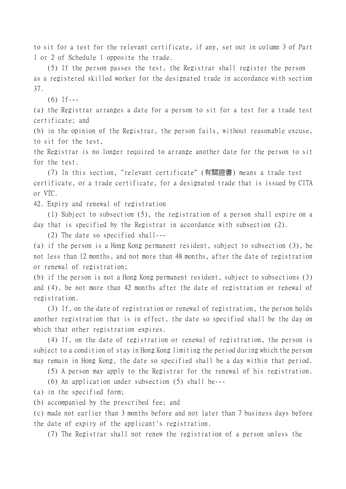to sit for a test for the relevant certificate, if any, set out in column 3 of Part 1 or 2 of Schedule 1 opposite the trade.

(5) If the person passes the test, the Registrar shall register the person as a registered skilled worker for the designated trade in accordance with section 37.

 $(6)$  If---

(a) the Registrar arranges a date for a person to sit for a test for a trade test certificate; and

(b) in the opinion of the Registrar, the person fails, without reasonable excuse, to sit for the test,

the Registrar is no longer required to arrange another date for the person to sit for the test.

(7) In this section, "relevant certificate" (有關證書) means a trade test certificate, or a trade certificate, for a designated trade that is issued by CITA or VTC.

42. Expiry and renewal of registration

(1) Subject to subsection (5), the registration of a person shall expire on a day that is specified by the Registrar in accordance with subsection (2).

(2) The date so specified shall---

(a) if the person is a Hong Kong permanent resident, subject to subsection (3), be not less than 12 months, and not more than 48 months, after the date of registration or renewal of registration;

(b) if the person is not a Hong Kong permanent resident, subject to subsections (3) and (4), be not more than 42 months after the date of registration or renewal of registration.

(3) If, on the date of registration or renewal of registration, the person holds another registration that is in effect, the date so specified shall be the day on which that other registration expires.

(4) If, on the date of registration or renewal of registration, the person is subject to a condition of stay in Hong Kong limiting the period during which the person may remain in Hong Kong, the date so specified shall be a day within that period.

(5) A person may apply to the Registrar for the renewal of his registration.

(6) An application under subsection (5) shall be---

(a) in the specified form;

(b) accompanied by the prescribed fee; and

(c) made not earlier than 3 months before and not later than 7 business days before the date of expiry of the applicant's registration.

(7) The Registrar shall not renew the registration of a person unless the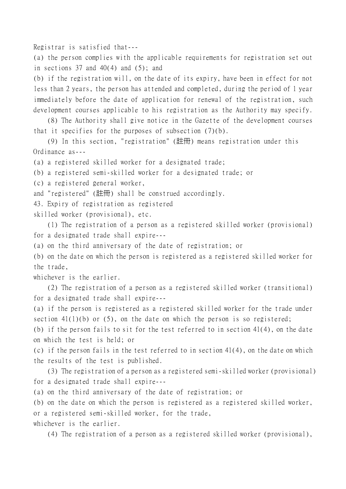Registrar is satisfied that---

(a) the person complies with the applicable requirements for registration set out in sections 37 and  $40(4)$  and  $(5)$ ; and

(b) if the registration will, on the date of its expiry, have been in effect for not less than 2 years, the person has attended and completed, during the period of 1 year immediately before the date of application for renewal of the registration, such development courses applicable to his registration as the Authority may specify.

(8) The Authority shall give notice in the Gazette of the development courses that it specifies for the purposes of subsection (7)(b).

(9) In this section, "registration" (註冊) means registration under this Ordinance as---

(a) a registered skilled worker for a designated trade;

(b) a registered semi-skilled worker for a designated trade; or

(c) a registered general worker,

and "registered" (註冊) shall be construed accordingly.

43. Expiry of registration as registered

skilled worker (provisional), etc.

(1) The registration of a person as a registered skilled worker (provisional) for a designated trade shall expire---

(a) on the third anniversary of the date of registration; or

(b) on the date on which the person is registered as a registered skilled worker for the trade,

whichever is the earlier.

(2) The registration of a person as a registered skilled worker (transitional) for a designated trade shall expire---

(a) if the person is registered as a registered skilled worker for the trade under section  $41(1)(b)$  or  $(5)$ , on the date on which the person is so registered;

(b) if the person fails to sit for the test referred to in section 41(4), on the date on which the test is held; or

(c) if the person fails in the test referred to in section 41(4), on the date on which the results of the test is published.

(3) The registration of a person as a registered semi-skilled worker (provisional) for a designated trade shall expire---

(a) on the third anniversary of the date of registration; or

(b) on the date on which the person is registered as a registered skilled worker, or a registered semi-skilled worker, for the trade, whichever is the earlier.

(4) The registration of a person as a registered skilled worker (provisional),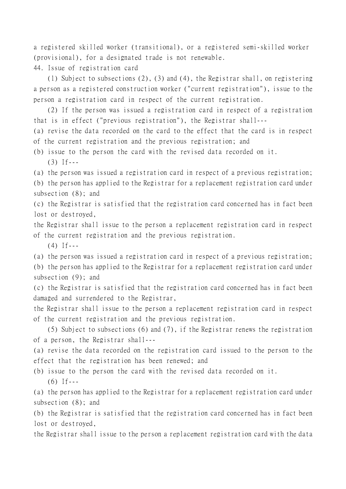a registered skilled worker (transitional), or a registered semi-skilled worker (provisional), for a designated trade is not renewable. 44. Issue of registration card

(1) Subject to subsections (2), (3) and (4), the Registrar shall, on registering a person as a registered construction worker ("current registration"), issue to the person a registration card in respect of the current registration.

(2) If the person was issued a registration card in respect of a registration that is in effect ("previous registration"), the Registrar shall---

(a) revise the data recorded on the card to the effect that the card is in respect of the current registration and the previous registration; and

(b) issue to the person the card with the revised data recorded on it.  $(3)$  If---

(a) the person was issued a registration card in respect of a previous registration;

(b) the person has applied to the Registrar for a replacement registration card under subsection (8); and

(c) the Registrar is satisfied that the registration card concerned has in fact been lost or destroyed,

the Registrar shall issue to the person a replacement registration card in respect of the current registration and the previous registration.

 $(4)$  If---

(a) the person was issued a registration card in respect of a previous registration; (b) the person has applied to the Registrar for a replacement registration card under subsection (9); and

(c) the Registrar is satisfied that the registration card concerned has in fact been damaged and surrendered to the Registrar,

the Registrar shall issue to the person a replacement registration card in respect of the current registration and the previous registration.

(5) Subject to subsections (6) and (7), if the Registrar renews the registration of a person, the Registrar shall---

(a) revise the data recorded on the registration card issued to the person to the effect that the registration has been renewed; and

(b) issue to the person the card with the revised data recorded on it.

 $(6)$  If---

(a) the person has applied to the Registrar for a replacement registration card under subsection (8); and

(b) the Registrar is satisfied that the registration card concerned has in fact been lost or destroyed,

the Registrar shall issue to the person a replacement registration card with the data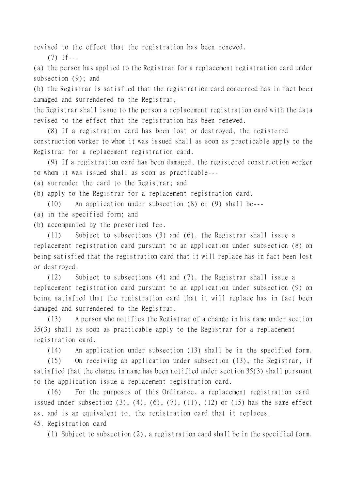revised to the effect that the registration has been renewed.

 $(7)$  If---

(a) the person has applied to the Registrar for a replacement registration card under subsection (9); and

(b) the Registrar is satisfied that the registration card concerned has in fact been damaged and surrendered to the Registrar,

the Registrar shall issue to the person a replacement registration card with the data revised to the effect that the registration has been renewed.

(8) If a registration card has been lost or destroyed, the registered construction worker to whom it was issued shall as soon as practicable apply to the Registrar for a replacement registration card.

(9) If a registration card has been damaged, the registered construction worker to whom it was issued shall as soon as practicable---

(a) surrender the card to the Registrar; and

(b) apply to the Registrar for a replacement registration card.

(10) An application under subsection (8) or (9) shall be---

- (a) in the specified form; and
- (b) accompanied by the prescribed fee.

(11) Subject to subsections (3) and (6), the Registrar shall issue a replacement registration card pursuant to an application under subsection (8) on being satisfied that the registration card that it will replace has in fact been lost or destroyed.

(12) Subject to subsections (4) and (7), the Registrar shall issue a replacement registration card pursuant to an application under subsection (9) on being satisfied that the registration card that it will replace has in fact been damaged and surrendered to the Registrar.

(13) A person who notifies the Registrar of a change in his name under section 35(3) shall as soon as practicable apply to the Registrar for a replacement registration card.

(14) An application under subsection (13) shall be in the specified form.

(15) On receiving an application under subsection (13), the Registrar, if satisfied that the change in name has been notified under section 35(3) shall pursuant to the application issue a replacement registration card.

(16) For the purposes of this Ordinance, a replacement registration card issued under subsection  $(3)$ ,  $(4)$ ,  $(6)$ ,  $(7)$ ,  $(11)$ ,  $(12)$  or  $(15)$  has the same effect as, and is an equivalent to, the registration card that it replaces. 45. Registration card

(1) Subject to subsection (2), a registration card shall be in the specified form.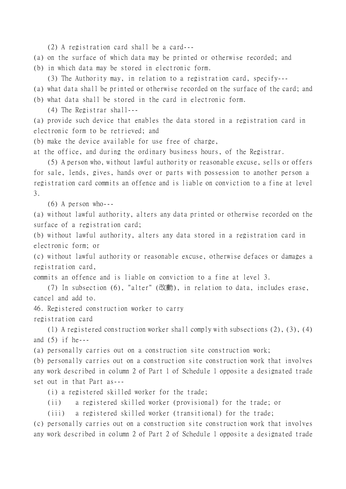(2) A registration card shall be a card---

(a) on the surface of which data may be printed or otherwise recorded; and

(b) in which data may be stored in electronic form.

(3) The Authority may, in relation to a registration card, specify---

- (a) what data shall be printed or otherwise recorded on the surface of the card; and
- (b) what data shall be stored in the card in electronic form.

(4) The Registrar shall---

(a) provide such device that enables the data stored in a registration card in electronic form to be retrieved; and

(b) make the device available for use free of charge,

at the office, and during the ordinary business hours, of the Registrar.

(5) A person who, without lawful authority or reasonable excuse, sells or offers for sale, lends, gives, hands over or parts with possession to another person a registration card commits an offence and is liable on conviction to a fine at level 3.

(6) A person who---

(a) without lawful authority, alters any data printed or otherwise recorded on the surface of a registration card;

(b) without lawful authority, alters any data stored in a registration card in electronic form; or

(c) without lawful authority or reasonable excuse, otherwise defaces or damages a registration card,

commits an offence and is liable on conviction to a fine at level 3.

(7) In subsection (6), "alter" (改動), in relation to data, includes erase, cancel and add to.

46. Registered construction worker to carry

registration card

(1) A registered construction worker shall comply with subsections (2), (3), (4) and  $(5)$  if he---

(a) personally carries out on a construction site construction work;

(b) personally carries out on a construction site construction work that involves any work described in column 2 of Part 1 of Schedule 1 opposite a designated trade set out in that Part as---

(i) a registered skilled worker for the trade;

(ii) a registered skilled worker (provisional) for the trade; or

(iii) a registered skilled worker (transitional) for the trade;

(c) personally carries out on a construction site construction work that involves any work described in column 2 of Part 2 of Schedule 1 opposite a designated trade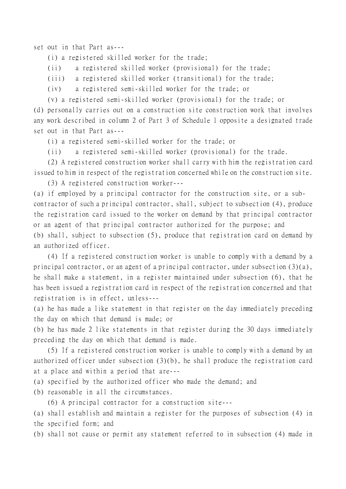set out in that Part as---

(i) a registered skilled worker for the trade;

(ii) a registered skilled worker (provisional) for the trade;

(iii) a registered skilled worker (transitional) for the trade;

(iv) a registered semi-skilled worker for the trade; or

(v) a registered semi-skilled worker (provisional) for the trade; or

(d) personally carries out on a construction site construction work that involves any work described in column 2 of Part 3 of Schedule 1 opposite a designated trade set out in that Part as---

(i) a registered semi-skilled worker for the trade; or

(ii) a registered semi-skilled worker (provisional) for the trade.

(2) A registered construction worker shall carry with him the registration card issued to him in respect of the registration concerned while on the construction site.

(3) A registered construction worker---

(a) if employed by a principal contractor for the construction site, or a subcontractor of such a principal contractor, shall, subject to subsection (4), produce the registration card issued to the worker on demand by that principal contractor or an agent of that principal contractor authorized for the purpose; and (b) shall, subject to subsection (5), produce that registration card on demand by an authorized officer.

(4) If a registered construction worker is unable to comply with a demand by a principal contractor, or an agent of a principal contractor, under subsection (3)(a), he shall make a statement, in a register maintained under subsection (6), that he has been issued a registration card in respect of the registration concerned and that registration is in effect, unless---

(a) he has made a like statement in that register on the day immediately preceding the day on which that demand is made; or

(b) he has made 2 like statements in that register during the 30 days immediately preceding the day on which that demand is made.

(5) If a registered construction worker is unable to comply with a demand by an authorized officer under subsection (3)(b), he shall produce the registration card at a place and within a period that are---

(a) specified by the authorized officer who made the demand; and

(b) reasonable in all the circumstances.

(6) A principal contractor for a construction site---

(a) shall establish and maintain a register for the purposes of subsection (4) in the specified form; and

(b) shall not cause or permit any statement referred to in subsection (4) made in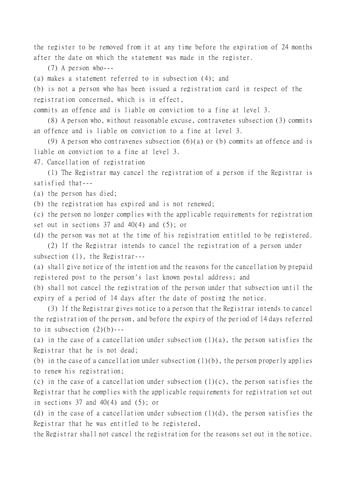the register to be removed from it at any time before the expiration of 24 months after the date on which the statement was made in the register.

(7) A person who---

(a) makes a statement referred to in subsection (4); and

(b) is not a person who has been issued a registration card in respect of the registration concerned, which is in effect,

commits an offence and is liable on conviction to a fine at level 3.

(8) A person who, without reasonable excuse, contravenes subsection (3) commits an offence and is liable on conviction to a fine at level 3.

(9) A person who contravenes subsection  $(6)(a)$  or (b) commits an offence and is liable on conviction to a fine at level 3.

47. Cancellation of registration

(1) The Registrar may cancel the registration of a person if the Registrar is satisfied that---

(a) the person has died;

(b) the registration has expired and is not renewed;

(c) the person no longer complies with the applicable requirements for registration set out in sections  $37$  and  $40(4)$  and  $(5)$ ; or

(d) the person was not at the time of his registration entitled to be registered.

(2) If the Registrar intends to cancel the registration of a person under subsection (1), the Registrar---

(a) shall give notice of the intention and the reasons for the cancellation by prepaid registered post to the person's last known postal address; and

(b) shall not cancel the registration of the person under that subsection until the expiry of a period of 14 days after the date of posting the notice.

(3) If the Registrar gives notice to a person that the Registrar intends to cancel the registration of the person, and before the expiry of the period of 14 days referred to in subsection  $(2)(b)$ ---

(a) in the case of a cancellation under subsection  $(1)(a)$ , the person satisfies the Registrar that he is not dead;

(b) in the case of a cancellation under subsection  $(1)(b)$ , the person properly applies to renew his registration;

(c) in the case of a cancellation under subsection  $(1)(c)$ , the person satisfies the Registrar that he complies with the applicable requirements for registration set out in sections 37 and  $40(4)$  and  $(5)$ ; or

(d) in the case of a cancellation under subsection  $(1)(d)$ , the person satisfies the Registrar that he was entitled to be registered,

the Registrar shall not cancel the registration for the reasons set out in the notice.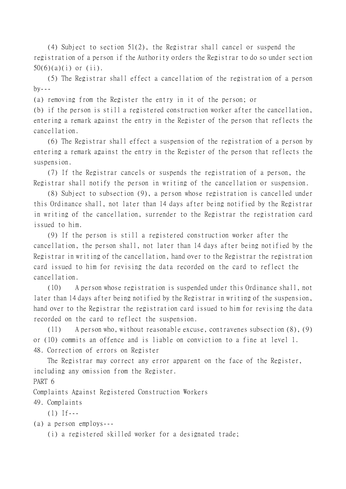(4) Subject to section 51(2), the Registrar shall cancel or suspend the registration of a person if the Authority orders the Registrar to do so under section  $50(6)(a)(i)$  or  $(ii)$ .

(5) The Registrar shall effect a cancellation of the registration of a person  $by--$ 

(a) removing from the Register the entry in it of the person; or

(b) if the person is still a registered construction worker after the cancellation, entering a remark against the entry in the Register of the person that reflects the cancellation.

(6) The Registrar shall effect a suspension of the registration of a person by entering a remark against the entry in the Register of the person that reflects the suspension.

(7) If the Registrar cancels or suspends the registration of a person, the Registrar shall notify the person in writing of the cancellation or suspension.

(8) Subject to subsection (9), a person whose registration is cancelled under this Ordinance shall, not later than 14 days after being notified by the Registrar in writing of the cancellation, surrender to the Registrar the registration card issued to him.

(9) If the person is still a registered construction worker after the cancellation, the person shall, not later than 14 days after being notified by the Registrar in writing of the cancellation, hand over to the Registrar the registration card issued to him for revising the data recorded on the card to reflect the cancellation.

(10) A person whose registration is suspended under this Ordinance shall, not later than 14 days after being notified by the Registrar in writing of the suspension, hand over to the Registrar the registration card issued to him for revising the data recorded on the card to reflect the suspension.

(11) A person who, without reasonable excuse, contravenes subsection (8), (9) or (10) commits an offence and is liable on conviction to a fine at level 1. 48. Correction of errors on Register

The Registrar may correct any error apparent on the face of the Register, including any omission from the Register.

PART 6

Complaints Against Registered Construction Workers

49. Complaints

 $(1)$  If---

(a) a person employs---

(i) a registered skilled worker for a designated trade;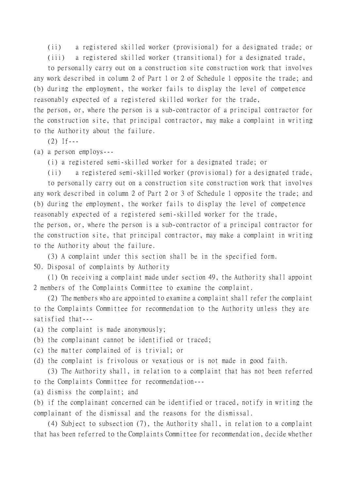(ii) a registered skilled worker (provisional) for a designated trade; or

(iii) a registered skilled worker (transitional) for a designated trade,

to personally carry out on a construction site construction work that involves any work described in column 2 of Part 1 or 2 of Schedule 1 opposite the trade; and (b) during the employment, the worker fails to display the level of competence reasonably expected of a registered skilled worker for the trade,

the person, or, where the person is a sub-contractor of a principal contractor for the construction site, that principal contractor, may make a complaint in writing to the Authority about the failure.

 $(2)$  If---

(a) a person employs---

(i) a registered semi-skilled worker for a designated trade; or

(ii) a registered semi-skilled worker (provisional) for a designated trade,

to personally carry out on a construction site construction work that involves any work described in column 2 of Part 2 or 3 of Schedule 1 opposite the trade; and (b) during the employment, the worker fails to display the level of competence reasonably expected of a registered semi-skilled worker for the trade,

the person, or, where the person is a sub-contractor of a principal contractor for the construction site, that principal contractor, may make a complaint in writing to the Authority about the failure.

(3) A complaint under this section shall be in the specified form.

50. Disposal of complaints by Authority

(1) On receiving a complaint made under section 49, the Authority shall appoint 2 members of the Complaints Committee to examine the complaint.

(2) The members who are appointed to examine a complaint shall refer the complaint to the Complaints Committee for recommendation to the Authority unless they are satisfied that---

- (a) the complaint is made anonymously;
- (b) the complainant cannot be identified or traced;
- (c) the matter complained of is trivial; or
- (d) the complaint is frivolous or vexatious or is not made in good faith.

(3) The Authority shall, in relation to a complaint that has not been referred to the Complaints Committee for recommendation---

(a) dismiss the complaint; and

(b) if the complainant concerned can be identified or traced, notify in writing the complainant of the dismissal and the reasons for the dismissal.

(4) Subject to subsection (7), the Authority shall, in relation to a complaint that has been referred to the Complaints Committee for recommendation, decide whether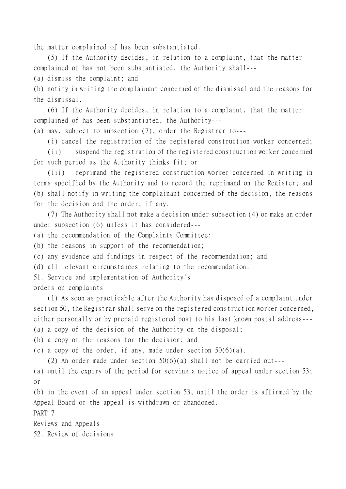the matter complained of has been substantiated.

(5) If the Authority decides, in relation to a complaint, that the matter complained of has not been substantiated, the Authority shall---

(a) dismiss the complaint; and

(b) notify in writing the complainant concerned of the dismissal and the reasons for the dismissal.

(6) If the Authority decides, in relation to a complaint, that the matter complained of has been substantiated, the Authority---

(a) may, subject to subsection (7), order the Registrar to---

(i) cancel the registration of the registered construction worker concerned;

(ii) suspend the registration of the registered construction worker concerned for such period as the Authority thinks fit; or

(iii) reprimand the registered construction worker concerned in writing in terms specified by the Authority and to record the reprimand on the Register; and (b) shall notify in writing the complainant concerned of the decision, the reasons for the decision and the order, if any.

(7) The Authority shall not make a decision under subsection (4) or make an order under subsection (6) unless it has considered---

(a) the recommendation of the Complaints Committee;

(b) the reasons in support of the recommendation;

(c) any evidence and findings in respect of the recommendation; and

(d) all relevant circumstances relating to the recommendation.

51. Service and implementation of Authority's

orders on complaints

(1) As soon as practicable after the Authority has disposed of a complaint under section 50, the Registrar shall serve on the registered construction worker concerned, either personally or by prepaid registered post to his last known postal address--- (a) a copy of the decision of the Authority on the disposal;

(b) a copy of the reasons for the decision; and

(c) a copy of the order, if any, made under section  $50(6)(a)$ .

(2) An order made under section  $50(6)(a)$  shall not be carried out---

(a) until the expiry of the period for serving a notice of appeal under section 53; or

(b) in the event of an appeal under section 53, until the order is affirmed by the Appeal Board or the appeal is withdrawn or abandoned.

PART 7

Reviews and Appeals

52. Review of decisions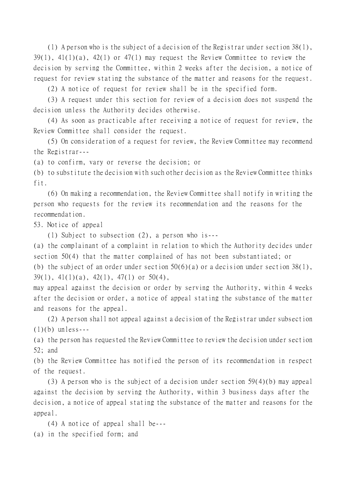(1) A person who is the subject of a decision of the Registrar under section 38(1), 39(1), 41(1)(a), 42(1) or 47(1) may request the Review Committee to review the decision by serving the Committee, within 2 weeks after the decision, a notice of request for review stating the substance of the matter and reasons for the request.

(2) A notice of request for review shall be in the specified form.

(3) A request under this section for review of a decision does not suspend the decision unless the Authority decides otherwise.

(4) As soon as practicable after receiving a notice of request for review, the Review Committee shall consider the request.

(5) On consideration of a request for review, the Review Committee may recommend the Registrar---

(a) to confirm, vary or reverse the decision; or

(b) to substitute the decision with such other decision as the Review Committee thinks fit.

(6) On making a recommendation, the Review Committee shall notify in writing the person who requests for the review its recommendation and the reasons for the recommendation.

53. Notice of appeal

(1) Subject to subsection (2), a person who is---

(a) the complainant of a complaint in relation to which the Authority decides under section 50(4) that the matter complained of has not been substantiated; or (b) the subject of an order under section  $50(6)(a)$  or a decision under section  $38(1)$ ,  $39(1)$ ,  $41(1)(a)$ ,  $42(1)$ ,  $47(1)$  or  $50(4)$ ,

may appeal against the decision or order by serving the Authority, within 4 weeks after the decision or order, a notice of appeal stating the substance of the matter and reasons for the appeal.

(2) A person shall not appeal against a decision of the Registrar under subsection  $(1)(b)$  unless---

(a) the person has requested the Review Committee to review the decision under section 52; and

(b) the Review Committee has notified the person of its recommendation in respect of the request.

(3) A person who is the subject of a decision under section 59(4)(b) may appeal against the decision by serving the Authority, within 3 business days after the decision, a notice of appeal stating the substance of the matter and reasons for the appeal.

(4) A notice of appeal shall be--- (a) in the specified form; and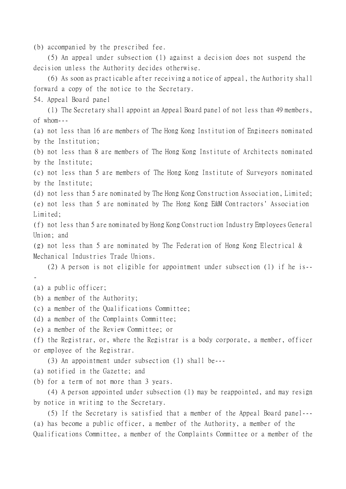(b) accompanied by the prescribed fee.

(5) An appeal under subsection (1) against a decision does not suspend the decision unless the Authority decides otherwise.

(6) As soon as practicable after receiving a notice of appeal, the Authority shall forward a copy of the notice to the Secretary.

54. Appeal Board panel

(1) The Secretary shall appoint an Appeal Board panel of not less than 49 members, of whom---

(a) not less than 16 are members of The Hong Kong Institution of Engineers nominated by the Institution;

(b) not less than 8 are members of The Hong Kong Institute of Architects nominated by the Institute;

(c) not less than 5 are members of The Hong Kong Institute of Surveyors nominated by the Institute;

(d) not less than 5 are nominated by The Hong Kong Construction Association, Limited;

(e) not less than 5 are nominated by The Hong Kong E&M Contractors' Association Limited;

(f) not less than 5 are nominated by Hong Kong Construction Industry Employees General Union; and

(g) not less than 5 are nominated by The Federation of Hong Kong Electrical & Mechanical Industries Trade Unions.

(2) A person is not eligible for appointment under subsection (1) if he is--

-

(a) a public officer;

(b) a member of the Authority;

(c) a member of the Qualifications Committee;

(d) a member of the Complaints Committee;

(e) a member of the Review Committee; or

(f) the Registrar, or, where the Registrar is a body corporate, a member, officer or employee of the Registrar.

(3) An appointment under subsection (1) shall be---

(a) notified in the Gazette; and

(b) for a term of not more than 3 years.

(4) A person appointed under subsection (1) may be reappointed, and may resign by notice in writing to the Secretary.

(5) If the Secretary is satisfied that a member of the Appeal Board panel--- (a) has become a public officer, a member of the Authority, a member of the Qualifications Committee, a member of the Complaints Committee or a member of the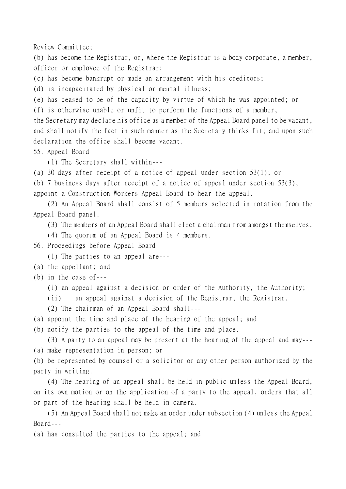Review Committee;

(b) has become the Registrar, or, where the Registrar is a body corporate, a member, officer or employee of the Registrar;

(c) has become bankrupt or made an arrangement with his creditors;

(d) is incapacitated by physical or mental illness;

(e) has ceased to be of the capacity by virtue of which he was appointed; or

(f) is otherwise unable or unfit to perform the functions of a member,

the Secretary may declare his office as a member of the Appeal Board panel to be vacant, and shall notify the fact in such manner as the Secretary thinks fit; and upon such declaration the office shall become vacant.

55. Appeal Board

(1) The Secretary shall within---

(a) 30 days after receipt of a notice of appeal under section 53(1); or

(b) 7 business days after receipt of a notice of appeal under section 53(3),

appoint a Construction Workers Appeal Board to hear the appeal.

(2) An Appeal Board shall consist of 5 members selected in rotation from the Appeal Board panel.

(3) The members of an Appeal Board shall elect a chairman from amongst themselves.

(4) The quorum of an Appeal Board is 4 members.

56. Proceedings before Appeal Board

(1) The parties to an appeal are---

(a) the appellant; and

(b) in the case of---

(i) an appeal against a decision or order of the Authority, the Authority;

(ii) an appeal against a decision of the Registrar, the Registrar.

(2) The chairman of an Appeal Board shall---

(a) appoint the time and place of the hearing of the appeal; and

(b) notify the parties to the appeal of the time and place.

(3) A party to an appeal may be present at the hearing of the appeal and may--- (a) make representation in person; or

(b) be represented by counsel or a solicitor or any other person authorized by the party in writing.

(4) The hearing of an appeal shall be held in public unless the Appeal Board, on its own motion or on the application of a party to the appeal, orders that all or part of the hearing shall be held in camera.

(5) An Appeal Board shall not make an order under subsection (4) unless the Appeal Board---

(a) has consulted the parties to the appeal; and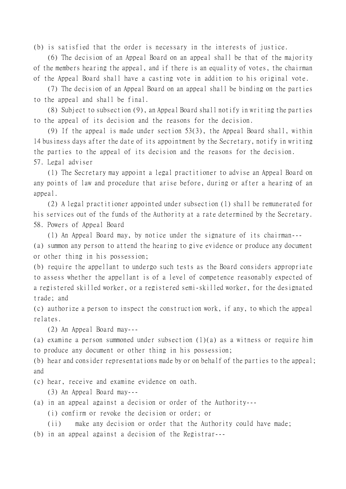(b) is satisfied that the order is necessary in the interests of justice.

(6) The decision of an Appeal Board on an appeal shall be that of the majority of the members hearing the appeal, and if there is an equality of votes, the chairman of the Appeal Board shall have a casting vote in addition to his original vote.

(7) The decision of an Appeal Board on an appeal shall be binding on the parties to the appeal and shall be final.

(8) Subject to subsection (9), an Appeal Board shall notify in writing the parties to the appeal of its decision and the reasons for the decision.

(9) If the appeal is made under section 53(3), the Appeal Board shall, within 14 business days after the date of its appointment by the Secretary, notify in writing the parties to the appeal of its decision and the reasons for the decision. 57. Legal adviser

(1) The Secretary may appoint a legal practitioner to advise an Appeal Board on any points of law and procedure that arise before, during or after a hearing of an appeal.

(2) A legal practitioner appointed under subsection (1) shall be remunerated for his services out of the funds of the Authority at a rate determined by the Secretary. 58. Powers of Appeal Board

(1) An Appeal Board may, by notice under the signature of its chairman---

(a) summon any person to attend the hearing to give evidence or produce any document or other thing in his possession;

(b) require the appellant to undergo such tests as the Board considers appropriate to assess whether the appellant is of a level of competence reasonably expected of a registered skilled worker, or a registered semi-skilled worker, for the designated trade; and

(c) authorize a person to inspect the construction work, if any, to which the appeal relates.

(2) An Appeal Board may---

(a) examine a person summoned under subsection (1)(a) as a witness or require him to produce any document or other thing in his possession;

(b) hear and consider representations made by or on behalf of the parties to the appeal; and

(c) hear, receive and examine evidence on oath.

(3) An Appeal Board may---

(a) in an appeal against a decision or order of the Authority---

(i) confirm or revoke the decision or order; or

(ii) make any decision or order that the Authority could have made; (b) in an appeal against a decision of the Registrar---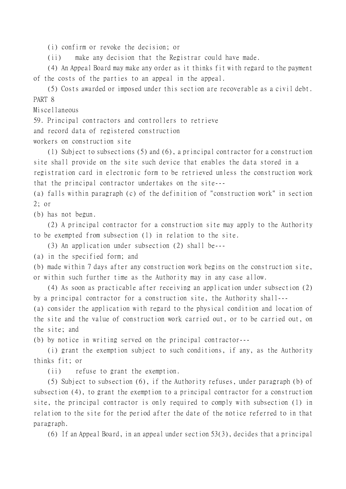(i) confirm or revoke the decision; or

(ii) make any decision that the Registrar could have made.

(4) An Appeal Board may make any order as it thinks fit with regard to the payment of the costs of the parties to an appeal in the appeal.

(5) Costs awarded or imposed under this section are recoverable as a civil debt. PART 8

Miscellaneous

59. Principal contractors and controllers to retrieve

and record data of registered construction

workers on construction site

(1) Subject to subsections (5) and (6), a principal contractor for a construction site shall provide on the site such device that enables the data stored in a registration card in electronic form to be retrieved unless the construction work that the principal contractor undertakes on the site---

(a) falls within paragraph (c) of the definition of "construction work" in section 2; or

(b) has not begun.

(2) A principal contractor for a construction site may apply to the Authority to be exempted from subsection (1) in relation to the site.

(3) An application under subsection (2) shall be---

(a) in the specified form; and

(b) made within 7 days after any construction work begins on the construction site, or within such further time as the Authority may in any case allow.

(4) As soon as practicable after receiving an application under subsection (2) by a principal contractor for a construction site, the Authority shall---

(a) consider the application with regard to the physical condition and location of the site and the value of construction work carried out, or to be carried out, on the site; and

(b) by notice in writing served on the principal contractor---

(i) grant the exemption subject to such conditions, if any, as the Authority thinks fit; or

(ii) refuse to grant the exemption.

(5) Subject to subsection (6), if the Authority refuses, under paragraph (b) of subsection (4), to grant the exemption to a principal contractor for a construction site, the principal contractor is only required to comply with subsection (1) in relation to the site for the period after the date of the notice referred to in that paragraph.

(6) If an Appeal Board, in an appeal under section 53(3), decides that a principal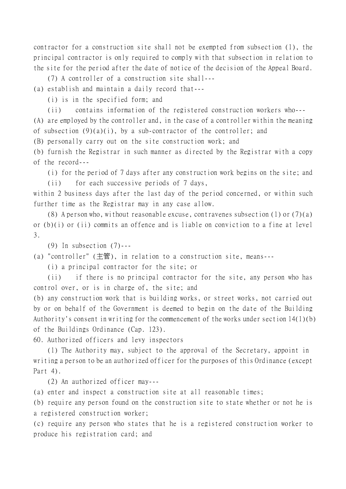contractor for a construction site shall not be exempted from subsection (1), the principal contractor is only required to comply with that subsection in relation to the site for the period after the date of notice of the decision of the Appeal Board.

(7) A controller of a construction site shall---

(a) establish and maintain a daily record that---

(i) is in the specified form; and

(ii) contains information of the registered construction workers who---

(A) are employed by the controller and, in the case of a controller within the meaning of subsection  $(9)(a)(i)$ , by a sub-contractor of the controller; and

(B) personally carry out on the site construction work; and

(b) furnish the Registrar in such manner as directed by the Registrar with a copy of the record---

(i) for the period of 7 days after any construction work begins on the site; and

(ii) for each successive periods of 7 days, within 2 business days after the last day of the period concerned, or within such further time as the Registrar may in any case allow.

(8) A person who, without reasonable excuse, contravenes subsection (1) or  $(7)(a)$ or (b)(i) or (ii) commits an offence and is liable on conviction to a fine at level 3.

(9) In subsection  $(7)$ ---

(a) "controller" (主管), in relation to a construction site, means---

(i) a principal contractor for the site; or

(ii) if there is no principal contractor for the site, any person who has control over, or is in charge of, the site; and

(b) any construction work that is building works, or street works, not carried out by or on behalf of the Government is deemed to begin on the date of the Building Authority's consent in writing for the commencement of the works under section 14(1)(b) of the Buildings Ordinance (Cap. 123).

60. Authorized officers and levy inspectors

(1) The Authority may, subject to the approval of the Secretary, appoint in writing a person to be an authorized officer for the purposes of this Ordinance (except Part 4).

(2) An authorized officer may---

(a) enter and inspect a construction site at all reasonable times;

(b) require any person found on the construction site to state whether or not he is a registered construction worker;

(c) require any person who states that he is a registered construction worker to produce his registration card; and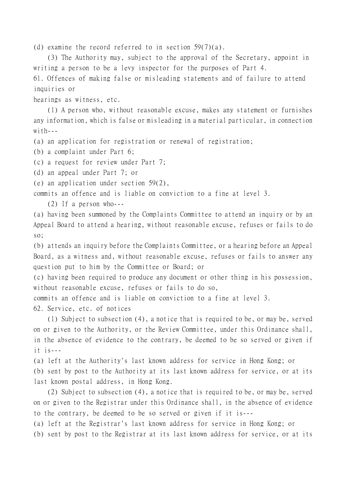(d) examine the record referred to in section 59(7)(a).

(3) The Authority may, subject to the approval of the Secretary, appoint in writing a person to be a levy inspector for the purposes of Part 4.

61. Offences of making false or misleading statements and of failure to attend inquiries or

hearings as witness, etc.

(1) A person who, without reasonable excuse, makes any statement or furnishes any information, which is false or misleading in a material particular, in connection  $w$ *i* th  $-$ 

(a) an application for registration or renewal of registration;

(b) a complaint under Part 6;

(c) a request for review under Part 7;

(d) an appeal under Part 7; or

(e) an application under section 59(2),

commits an offence and is liable on conviction to a fine at level 3.

(2) If a person who---

(a) having been summoned by the Complaints Committee to attend an inquiry or by an Appeal Board to attend a hearing, without reasonable excuse, refuses or fails to do so;

(b) attends an inquiry before the Complaints Committee, or a hearing before an Appeal Board, as a witness and, without reasonable excuse, refuses or fails to answer any question put to him by the Committee or Board; or

(c) having been required to produce any document or other thing in his possession, without reasonable excuse, refuses or fails to do so,

commits an offence and is liable on conviction to a fine at level 3.

62. Service, etc. of notices

(1) Subject to subsection (4), a notice that is required to be, or may be, served on or given to the Authority, or the Review Committee, under this Ordinance shall, in the absence of evidence to the contrary, be deemed to be so served or given if  $it$  is  $--$ 

(a) left at the Authority's last known address for service in Hong Kong; or (b) sent by post to the Authority at its last known address for service, or at its last known postal address, in Hong Kong.

(2) Subject to subsection (4), a notice that is required to be, or may be, served on or given to the Registrar under this Ordinance shall, in the absence of evidence to the contrary, be deemed to be so served or given if it is---

(a) left at the Registrar's last known address for service in Hong Kong; or (b) sent by post to the Registrar at its last known address for service, or at its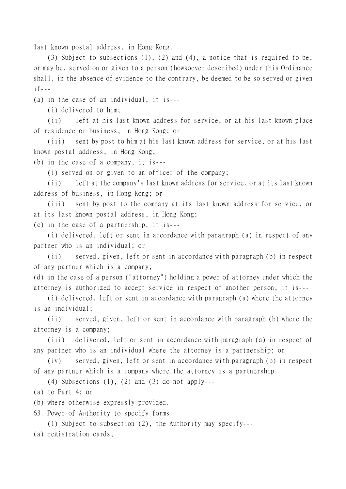last known postal address, in Hong Kong.

(3) Subject to subsections (1), (2) and (4), a notice that is required to be, or may be, served on or given to a person (howsoever described) under this Ordinance shall, in the absence of evidence to the contrary, be deemed to be so served or given  $if--$ 

(a) in the case of an individual, it is---

(i) delivered to him;

(ii) left at his last known address for service, or at his last known place of residence or business, in Hong Kong; or

(iii) sent by post to him at his last known address for service, or at his last known postal address, in Hong Kong;

(b) in the case of a company, it is---

(i) served on or given to an officer of the company;

(ii) left at the company's last known address for service, or at its last known address of business, in Hong Kong; or

(iii) sent by post to the company at its last known address for service, or at its last known postal address, in Hong Kong;

(c) in the case of a partnership, it is---

(i) delivered, left or sent in accordance with paragraph (a) in respect of any partner who is an individual; or

(ii) served, given, left or sent in accordance with paragraph (b) in respect of any partner which is a company;

(d) in the case of a person ("attorney") holding a power of attorney under which the attorney is authorized to accept service in respect of another person, it is---

(i) delivered, left or sent in accordance with paragraph (a) where the attorney is an individual;

(ii) served, given, left or sent in accordance with paragraph (b) where the attorney is a company;

(iii) delivered, left or sent in accordance with paragraph (a) in respect of any partner who is an individual where the attorney is a partnership; or

(iv) served, given, left or sent in accordance with paragraph (b) in respect of any partner which is a company where the attorney is a partnership.

(4) Subsections  $(1)$ ,  $(2)$  and  $(3)$  do not apply---

(a) to Part 4; or

(b) where otherwise expressly provided.

63. Power of Authority to specify forms

(1) Subject to subsection (2), the Authority may specify---

(a) registration cards;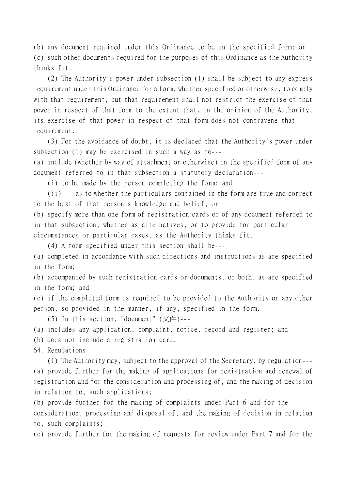(b) any document required under this Ordinance to be in the specified form; or (c) such other documents required for the purposes of this Ordinance as the Authority thinks fit.

(2) The Authority's power under subsection (1) shall be subject to any express requirement under this Ordinance for a form, whether specified or otherwise, to comply with that requirement, but that requirement shall not restrict the exercise of that power in respect of that form to the extent that, in the opinion of the Authority, its exercise of that power in respect of that form does not contravene that requirement.

(3) For the avoidance of doubt, it is declared that the Authority's power under subsection (1) may be exercised in such a way as to---

(a) include (whether by way of attachment or otherwise) in the specified form of any document referred to in that subsection a statutory declaration---

(i) to be made by the person completing the form; and

(ii) as to whether the particulars contained in the form are true and correct to the best of that person's knowledge and belief; or

(b) specify more than one form of registration cards or of any document referred to in that subsection, whether as alternatives, or to provide for particular circumstances or particular cases, as the Authority thinks fit.

(4) A form specified under this section shall be---

(a) completed in accordance with such directions and instructions as are specified in the form;

(b) accompanied by such registration cards or documents, or both, as are specified in the form; and

(c) if the completed form is required to be provided to the Authority or any other person, so provided in the manner, if any, specified in the form.

(5) In this section, "document" (文件)---

(a) includes any application, complaint, notice, record and register; and

(b) does not include a registration card.

64. Regulations

(1) The Authority may, subject to the approval of the Secretary, by regulation--- (a) provide further for the making of applications for registration and renewal of registration and for the consideration and processing of, and the making of decision in relation to, such applications;

(b) provide further for the making of complaints under Part 6 and for the consideration, processing and disposal of, and the making of decision in relation to, such complaints;

(c) provide further for the making of requests for review under Part 7 and for the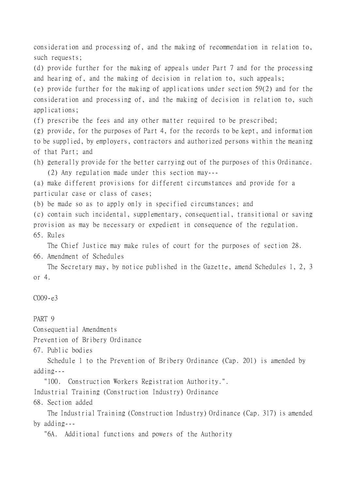consideration and processing of, and the making of recommendation in relation to, such requests;

(d) provide further for the making of appeals under Part 7 and for the processing and hearing of, and the making of decision in relation to, such appeals;

(e) provide further for the making of applications under section 59(2) and for the consideration and processing of, and the making of decision in relation to, such applications;

(f) prescribe the fees and any other matter required to be prescribed;

(g) provide, for the purposes of Part 4, for the records to be kept, and information to be supplied, by employers, contractors and authorized persons within the meaning of that Part; and

(h) generally provide for the better carrying out of the purposes of this Ordinance. (2) Any regulation made under this section may---

(a) make different provisions for different circumstances and provide for a particular case or class of cases;

(b) be made so as to apply only in specified circumstances; and

(c) contain such incidental, supplementary, consequential, transitional or saving provision as may be necessary or expedient in consequence of the regulation. 65. Rules

The Chief Justice may make rules of court for the purposes of section 28.

66. Amendment of Schedules

The Secretary may, by notice published in the Gazette, amend Schedules 1, 2, 3 or 4.

## $C009 - e3$

PART 9

Consequential Amendments

Prevention of Bribery Ordinance

67. Public bodies

Schedule 1 to the Prevention of Bribery Ordinance (Cap. 201) is amended by adding---

"100. Construction Workers Registration Authority.".

Industrial Training (Construction Industry) Ordinance

68. Section added

The Industrial Training (Construction Industry) Ordinance (Cap. 317) is amended by adding---

"6A. Additional functions and powers of the Authority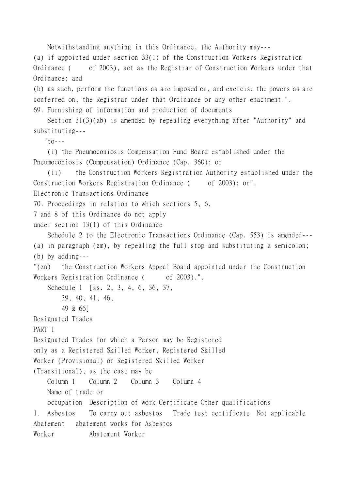Notwithstanding anything in this Ordinance, the Authority may---

(a) if appointed under section 33(1) of the Construction Workers Registration Ordinance ( of 2003), act as the Registrar of Construction Workers under that Ordinance; and

(b) as such, perform the functions as are imposed on, and exercise the powers as are conferred on, the Registrar under that Ordinance or any other enactment.". 69. Furnishing of information and production of documents

Section 31(3)(ab) is amended by repealing everything after "Authority" and substituting---

 $"$ to---

(i) the Pneumoconiosis Compensation Fund Board established under the Pneumoconiosis (Compensation) Ordinance (Cap. 360); or

```
(ii) the Construction Workers Registration Authority established under the
Construction Workers Registration Ordinance ( of 2003); or".
```
Electronic Transactions Ordinance

```
70. Proceedings in relation to which sections 5, 6,
```

```
7 and 8 of this Ordinance do not apply
```

```
under section 13(1) of this Ordinance
```

```
Schedule 2 to the Electronic Transactions Ordinance (Cap. 553) is amended---
(a) in paragraph (zm), by repealing the full stop and substituting a semicolon;
(b) by adding---
"(zn) the Construction Workers Appeal Board appointed under the Construction
Workers Registration Ordinance ( of 2003).".
    Schedule 1 [ss. 2, 3, 4, 6, 36, 37,
       39, 40, 41, 46,
       49 & 66]
Designated Trades
PART 1
Designated Trades for which a Person may be Registered
only as a Registered Skilled Worker, Registered Skilled
Worker (Provisional) or Registered Skilled Worker
(Transitional), as the case may be
    Column 1 Column 2 Column 3 Column 4
   Name of trade or
    occupation Description of work Certificate Other qualifications
1. Asbestos To carry out asbestos Trade test certificate Not applicable
Abatement abatement works for Asbestos
Worker Abatement Worker
```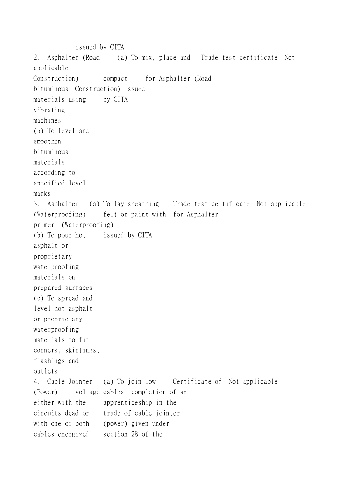issued by CITA 2. Asphalter (Road (a) To mix, place and Trade test certificate Not applicable Construction) compact for Asphalter (Road bituminous Construction) issued materials using by CITA vibrating machines (b) To level and smoothen bituminous materials according to specified level marks 3. Asphalter (a) To lay sheathing Trade test certificate Not applicable (Waterproofing) felt or paint with for Asphalter primer (Waterproofing) (b) To pour hot issued by CITA asphalt or proprietary waterproofing materials on prepared surfaces (c) To spread and level hot asphalt or proprietary waterproofing materials to fit corners, skirtings, flashings and outlets 4. Cable Jointer (a) To join low Certificate of Not applicable (Power) voltage cables completion of an either with the apprenticeship in the circuits dead or trade of cable jointer with one or both (power) given under cables energized section 28 of the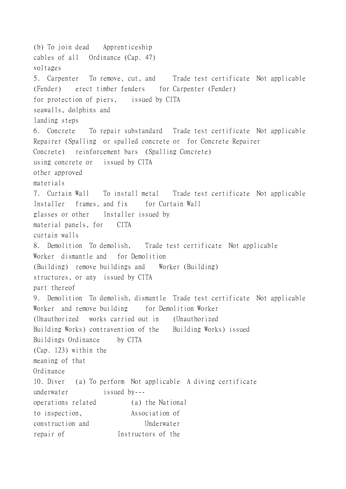(b) To join dead Apprenticeship cables of all Ordinance (Cap. 47) voltages 5. Carpenter To remove, cut, and Trade test certificate Not applicable (Fender) erect timber fenders for Carpenter (Fender) for protection of piers, issued by CITA seawalls, dolphins and landing steps 6. Concrete To repair substandard Trade test certificate Not applicable Repairer (Spalling or spalled concrete or for Concrete Repairer Concrete) reinforcement bars (Spalling Concrete) using concrete or issued by CITA other approved materials 7. Curtain Wall To install metal Trade test certificate Not applicable Installer frames, and fix for Curtain Wall glasses or other Installer issued by material panels, for CITA curtain walls 8. Demolition To demolish, Trade test certificate Not applicable Worker dismantle and for Demolition (Building) remove buildings and Worker (Building) structures, or any issued by CITA part thereof 9. Demolition To demolish, dismantle Trade test certificate Not applicable Worker and remove building for Demolition Worker (Unauthorized works carried out in (Unauthorized Building Works) contravention of the Building Works) issued Buildings Ordinance by CITA (Cap. 123) within the meaning of that Ordinance 10. Diver (a) To perform Not applicable A diving certificate underwater issued by-- operations related (a) the National to inspection, Association of construction and Underwater repair of Instructors of the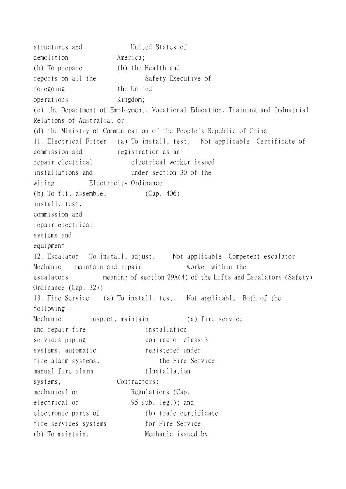structures and United States of demolition America: (b) To prepare (b) the Health and reports on all the Safety Executive of foregoing the United operations Kingdom; (c) the Department of Employment, Vocational Education, Training and Industrial Relations of Australia; or (d) the Ministry of Communication of the People's Republic of China 11. Electrical Fitter (a) To install, test, Not applicable Certificate of commission and registration as an repair electrical electrical worker issued installations and under section 30 of the wiring Electricity Ordinance (b) To fit, assemble, (Cap. 406) install, test, commission and repair electrical systems and equipment 12. Escalator To install, adjust, Not applicable Competent escalator Mechanic maintain and repair worker within the escalators meaning of section 29A(4) of the Lifts and Escalators (Safety) Ordinance (Cap. 327) 13. Fire Service (a) To install, test, Not applicable Both of the following--- Mechanic inspect, maintain (a) fire service and repair fire installation services piping contractor class 3 systems, automatic registered under fire alarm systems, the Fire Service manual fire alarm (Installation systems, Contractors) mechanical or Regulations (Cap. electrical or 95 sub. leg.); and electronic parts of (b) trade certificate fire services systems for Fire Service (b) To maintain, Mechanic issued by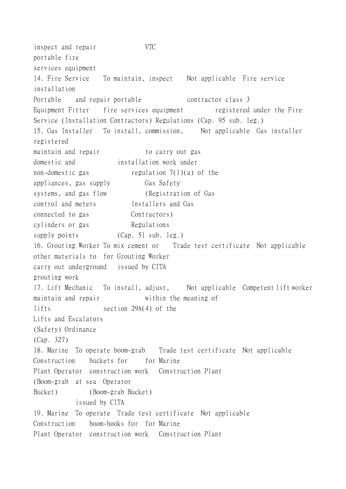inspect and repair VTC portable fire services equipment 14. Fire Service To maintain, inspect Not applicable Fire service installation Portable and repair portable contractor class 3 Equipment Fitter fire services equipment registered under the Fire Service (Installation Contractors) Regulations (Cap. 95 sub. leg.) 15. Gas Installer To install, commission, Not applicable Gas installer registered maintain and repair to carry out gas domestic and installation work under non-domestic gas regulation 7(1)(a) of the appliances, gas supply Gas Safety systems, and gas flow (Registration of Gas control and meters Installers and Gas connected to gas Contractors) cylinders or gas Regulations supply points (Cap. 51 sub. leg.) 16. Grouting Worker To mix cement or Trade test certificate Not applicable other materials to for Grouting Worker carry out underground issued by CITA grouting work 17. Lift Mechanic To install, adjust, Not applicable Competent lift worker maintain and repair within the meaning of lifts section 29A(4) of the Lifts and Escalators (Safety) Ordinance (Cap. 327) 18. Marine To operate boom-grab Trade test certificate Not applicable Construction buckets for for Marine Plant Operator construction work Construction Plant (Boom-grab at sea Operator Bucket) (Boom-grab Bucket) issued by CITA 19. Marine To operate Trade test certificate Not applicable Construction boom-hooks for for Marine Plant Operator construction work Construction Plant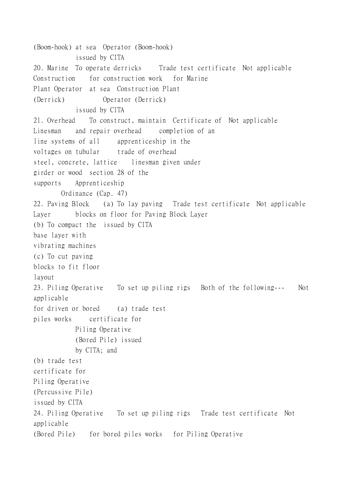(Boom-hook) at sea Operator (Boom-hook) issued by CITA 20. Marine To operate derricks Trade test certificate Not applicable Construction for construction work for Marine Plant Operator at sea Construction Plant (Derrick) Operator (Derrick) issued by CITA 21. Overhead To construct, maintain Certificate of Not applicable Linesman and repair overhead completion of an line systems of all apprenticeship in the voltages on tubular trade of overhead steel, concrete, lattice linesman given under girder or wood section 28 of the supports Apprenticeship Ordinance (Cap. 47) 22. Paving Block (a) To lay paving Trade test certificate Not applicable Layer blocks on floor for Paving Block Layer (b) To compact the issued by CITA base layer with vibrating machines (c) To cut paving blocks to fit floor layout 23. Piling Operative To set up piling rigs Both of the following--- Not applicable for driven or bored (a) trade test piles works certificate for Piling Operative (Bored Pile) issued by CITA; and (b) trade test certificate for Piling Operative (Percussive Pile) issued by CITA 24. Piling Operative To set up piling rigs Trade test certificate Not applicable (Bored Pile) for bored piles works for Piling Operative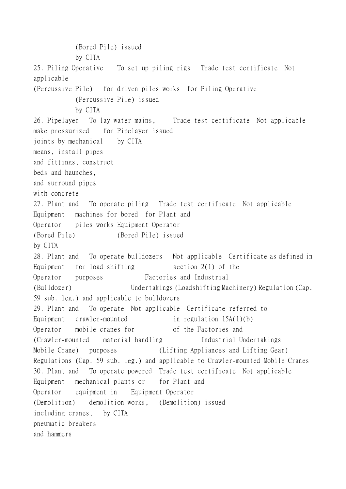(Bored Pile) issued by CITA 25. Piling Operative To set up piling rigs Trade test certificate Not applicable (Percussive Pile) for driven piles works for Piling Operative (Percussive Pile) issued by CITA 26. Pipelayer To lay water mains, Trade test certificate Not applicable make pressurized for Pipelayer issued joints by mechanical by CITA means, install pipes and fittings, construct beds and haunches, and surround pipes with concrete 27. Plant and To operate piling Trade test certificate Not applicable Equipment machines for bored for Plant and Operator piles works Equipment Operator (Bored Pile) (Bored Pile) issued by CITA 28. Plant and To operate bulldozers Not applicable Certificate as defined in Equipment for load shifting  $\qquad$  section 2(1) of the Operator purposes Factories and Industrial (Bulldozer) Undertakings (Loadshifting Machinery) Regulation (Cap. 59 sub. leg.) and applicable to bulldozers 29. Plant and To operate Not applicable Certificate referred to Equipment crawler-mounted in regulation 15A(1)(b) Operator mobile cranes for of the Factories and (Crawler-mounted material handling Industrial Undertakings Mobile Crane) purposes (Lifting Appliances and Lifting Gear) Regulations (Cap. 59 sub. leg.) and applicable to Crawler-mounted Mobile Cranes 30. Plant and To operate powered Trade test certificate Not applicable Equipment mechanical plants or for Plant and Operator equipment in Equipment Operator (Demolition) demolition works, (Demolition) issued including cranes, by CITA pneumatic breakers and hammers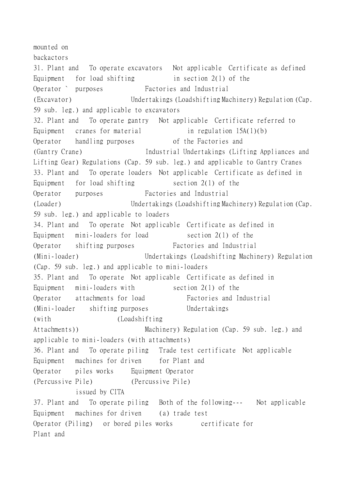mounted on backactors 31. Plant and To operate excavators Not applicable Certificate as defined Equipment for load shifting  $\frac{1}{2}$  in section 2(1) of the Operator ` purposes Factories and Industrial (Excavator) Undertakings (Loadshifting Machinery) Regulation (Cap. 59 sub. leg.) and applicable to excavators 32. Plant and To operate gantry Not applicable Certificate referred to Equipment cranes for material  $\qquad$  in regulation  $15A(1)(b)$ Operator handling purposes of the Factories and (Gantry Crane) Industrial Undertakings (Lifting Appliances and Lifting Gear) Regulations (Cap. 59 sub. leg.) and applicable to Gantry Cranes 33. Plant and To operate loaders Not applicable Certificate as defined in Equipment for load shifting  $\qquad$  section 2(1) of the Operator purposes Factories and Industrial (Loader) Undertakings (Loadshifting Machinery) Regulation (Cap. 59 sub. leg.) and applicable to loaders 34. Plant and To operate Not applicable Certificate as defined in Equipment mini-loaders for load section 2(1) of the Operator shifting purposes Factories and Industrial (Mini-loader) Undertakings (Loadshifting Machinery) Regulation (Cap. 59 sub. leg.) and applicable to mini-loaders 35. Plant and To operate Not applicable Certificate as defined in Equipment mini-loaders with section  $2(1)$  of the Operator attachments for load Factories and Industrial (Mini-loader shifting purposes Undertakings (with (Loadshifting Attachments)) Machinery) Regulation (Cap. 59 sub. leg.) and applicable to mini-loaders (with attachments) 36. Plant and To operate piling Trade test certificate Not applicable Equipment machines for driven for Plant and Operator piles works Equipment Operator (Percussive Pile) (Percussive Pile) issued by CITA 37. Plant and To operate piling Both of the following--- Not applicable Equipment machines for driven (a) trade test Operator (Piling) or bored piles works certificate for Plant and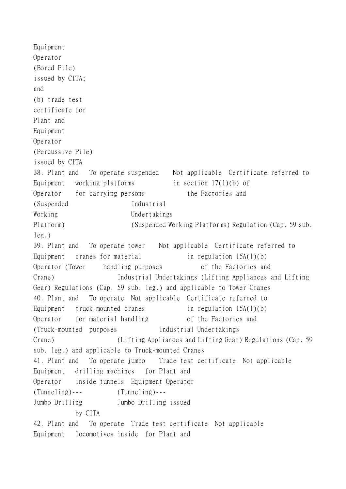```
Equipment
Operator
(Bored Pile)
issued by CITA;
and
(b) trade test
certificate for
Plant and
Equipment
Operator
(Percussive Pile)
issued by CITA
38. Plant and To operate suspended Not applicable Certificate referred to
Equipment working platforms in section 17(1)(b) of
Operator for carrying persons the Factories and
(Suspended Industrial
Working Undertakings
Platform) (Suspended Working Platforms) Regulation (Cap. 59 sub.
leg.)
39. Plant and To operate tower Not applicable Certificate referred to
Equipment cranes for material in regulation 15A(1)(b)
Operator (Tower handling purposes of the Factories and
Crane) Industrial Undertakings (Lifting Appliances and Lifting
Gear) Regulations (Cap. 59 sub. leg.) and applicable to Tower Cranes
40. Plant and To operate Not applicable Certificate referred to
Equipment truck-mounted cranes in regulation 15A(1)(b)
Operator for material handling of the Factories and
(Truck-mounted purposes Industrial Undertakings
Crane) (Lifting Appliances and Lifting Gear) Regulations (Cap. 59
sub. leg.) and applicable to Truck-mounted Cranes
41. Plant and To operate jumbo Trade test certificate Not applicable
Equipment drilling machines for Plant and
Operator inside tunnels Equipment Operator
(Tunneling)--- (Tunneling)---
Jumbo Drilling Jumbo Drilling issued
          by CITA
42. Plant and To operate Trade test certificate Not applicable
Equipment locomotives inside for Plant and
```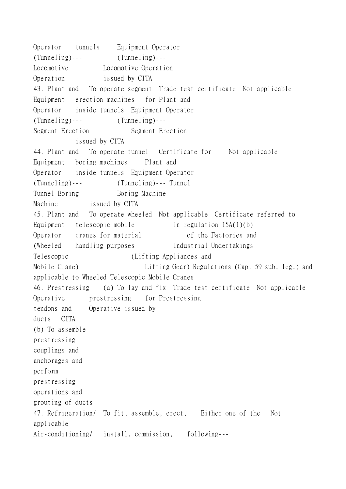Operator tunnels Equipment Operator (Tunneling)--- (Tunneling)--- Locomotive Locomotive Operation Operation issued by CITA 43. Plant and To operate segment Trade test certificate Not applicable Equipment erection machines for Plant and Operator inside tunnels Equipment Operator (Tunneling)--- (Tunneling)--- Segment Erection Segment Erection issued by CITA 44. Plant and To operate tunnel Certificate for Not applicable Equipment boring machines Plant and Operator inside tunnels Equipment Operator (Tunneling)--- (Tunneling)--- Tunnel Tunnel Boring Boring Machine Machine issued by CITA 45. Plant and To operate wheeled Not applicable Certificate referred to Equipment telescopic mobile in regulation 15A(1)(b) Operator cranes for material of the Factories and (Wheeled handling purposes Industrial Undertakings Telescopic (Lifting Appliances and Mobile Crane) Lifting Gear) Regulations (Cap. 59 sub. leg.) and applicable to Wheeled Telescopic Mobile Cranes 46. Prestressing (a) To lay and fix Trade test certificate Not applicable Operative prestressing for Prestressing tendons and Operative issued by ducts CITA (b) To assemble prestressing couplings and anchorages and perform prestressing operations and grouting of ducts 47. Refrigeration/ To fit, assemble, erect, Either one of the Not applicable Air-conditioning/ install, commission, following---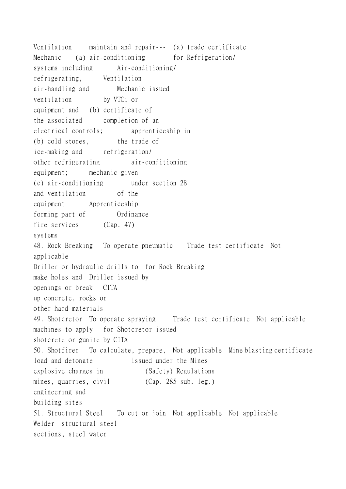Ventilation maintain and repair--- (a) trade certificate Mechanic (a) air-conditioning for Refrigeration/ systems including Air-conditioning/ refrigerating, Ventilation air-handling and Mechanic issued ventilation by VTC; or equipment and (b) certificate of the associated completion of an electrical controls; apprenticeship in (b) cold stores, the trade of ice-making and refrigeration/ other refrigerating air-conditioning equipment; mechanic given (c) air-conditioning under section 28 and ventilation of the equipment Apprenticeship forming part of Ordinance fire services (Cap. 47) systems 48. Rock Breaking To operate pneumatic Trade test certificate Not applicable Driller or hydraulic drills to for Rock Breaking make holes and Driller issued by openings or break CITA up concrete, rocks or other hard materials 49. Shotcretor To operate spraying Trade test certificate Not applicable machines to apply for Shotcretor issued shotcrete or gunite by CITA 50. Shotfirer To calculate, prepare, Not applicable Mine blasting certificate load and detonate issued under the Mines explosive charges in (Safety) Regulations mines, quarries, civil (Cap. 285 sub. leg.) engineering and building sites 51. Structural Steel To cut or join Not applicable Not applicable Welder structural steel sections, steel water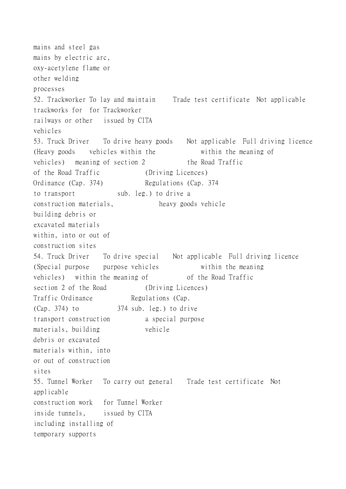mains and steel gas mains by electric arc, oxy-acetylene flame or other welding processes 52. Trackworker To lay and maintain Trade test certificate Not applicable trackworks for for Trackworker railways or other issued by CITA vehicles 53. Truck Driver To drive heavy goods Not applicable Full driving licence (Heavy goods vehicles within the within the meaning of vehicles) meaning of section 2 the Road Traffic of the Road Traffic (Driving Licences) Ordinance (Cap. 374) Regulations (Cap. 374) to transport sub. leg.) to drive a construction materials, heavy goods vehicle building debris or excavated materials within, into or out of construction sites 54. Truck Driver To drive special Not applicable Full driving licence (Special purpose purpose vehicles within the meaning vehicles) within the meaning of of the Road Traffic section 2 of the Road (Driving Licences) Traffic Ordinance Regulations (Cap.  $(Cap. 374)$  to  $374$  sub. leg.) to drive transport construction a special purpose materials, building vehicle debris or excavated materials within, into or out of construction sites 55. Tunnel Worker To carry out general Trade test certificate Not applicable construction work for Tunnel Worker inside tunnels, issued by CITA including installing of temporary supports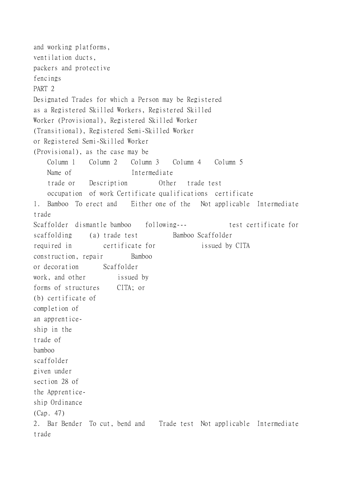and working platforms, ventilation ducts, packers and protective fencings PART 2 Designated Trades for which a Person may be Registered as a Registered Skilled Workers, Registered Skilled Worker (Provisional), Registered Skilled Worker (Transitional), Registered Semi-Skilled Worker or Registered Semi-Skilled Worker (Provisional), as the case may be Column 1 Column 2 Column 3 Column 4 Column 5 Name of Intermediate trade or Description Other trade test occupation of work Certificate qualifications certificate 1. Bamboo To erect and Either one of the Not applicable Intermediate trade Scaffolder dismantle bamboo following--- test certificate for scaffolding (a) trade test Bamboo Scaffolder required in certificate for issued by CITA construction, repair Bamboo or decoration Scaffolder work, and other issued by forms of structures CITA; or (b) certificate of completion of an apprenticeship in the trade of bamboo scaffolder given under section 28 of the Apprenticeship Ordinance (Cap. 47) 2. Bar Bender To cut, bend and Trade test Not applicable Intermediate trade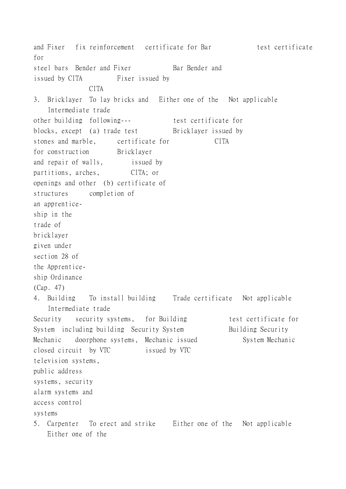and Fixer fix reinforcement certificate for Bar test certificate for steel bars Bender and Fixer Bar Bender and issued by CITA Fixer issued by CITA 3. Bricklayer To lay bricks and Either one of the Not applicable Intermediate trade other building following--- test certificate for blocks, except (a) trade test Bricklayer issued by stones and marble, certificate for CITA for construction Bricklayer and repair of walls, issued by partitions, arches, CITA; or openings and other (b) certificate of structures completion of an apprenticeship in the trade of bricklayer given under section 28 of the Apprenticeship Ordinance (Cap. 47) 4. Building To install building Trade certificate Not applicable Intermediate trade Security security systems, for Building test certificate for System including building Security System Building Security Mechanic doorphone systems, Mechanic issued System Mechanic closed circuit by VTC issued by VTC television systems, public address systems, security alarm systems and access control systems 5. Carpenter To erect and strike Either one of the Not applicable Either one of the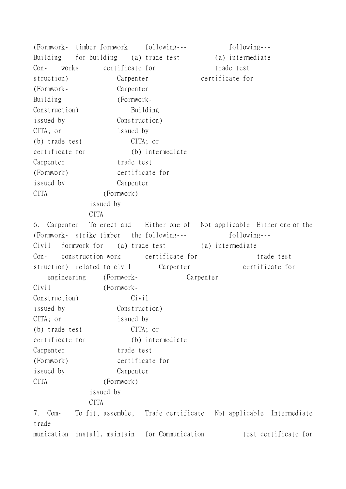(Formwork- timber formwork following--- following--- Building for building (a) trade test (a) intermediate Con- works certificate for trade test struction) Carpenter certificate for (Formwork- Carpenter Building (Formwork-Construction) Building issued by Construction) CITA; or issued by (b) trade test CITA; or certificate for (b) intermediate Carpenter trade test (Formwork) certificate for issued by Carpenter CITA (Formwork) issued by **CITA** 6. Carpenter To erect and Either one of Not applicable Either one of the (Formwork- strike timber the following--- following--- Civil formwork for (a) trade test (a) intermediate Con- construction work certificate for trade test struction) related to civil Carpenter certificate for engineering (Formwork- Carpenter Civil (Formwork-Construction) Civil issued by Construction) CITA; or issued by (b) trade test CITA; or certificate for (b) intermediate Carpenter trade test (Formwork) certificate for issued by Carpenter CITA (Formwork) issued by CITA 7. Com- To fit, assemble, Trade certificate Not applicable Intermediate trade munication install, maintain for Communication test certificate for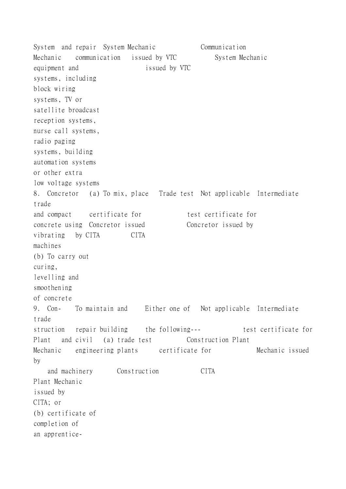System and repair System Mechanic Communication Mechanic communication issued by VTC System Mechanic equipment and issued by VTC systems, including block wiring systems, TV or satellite broadcast reception systems, nurse call systems, radio paging systems, building automation systems or other extra low voltage systems 8. Concretor (a) To mix, place Trade test Not applicable Intermediate trade and compact certificate for test certificate for concrete using Concretor issued Concretor issued by vibrating by CITA CITA machines (b) To carry out curing, levelling and smoothening of concrete 9. Con- To maintain and Either one of Not applicable Intermediate trade struction repair building the following--- test certificate for Plant and civil (a) trade test Construction Plant Mechanic engineering plants certificate for Mechanic issued by and machinery Construction CITA Plant Mechanic issued by CITA; or (b) certificate of completion of an apprentice-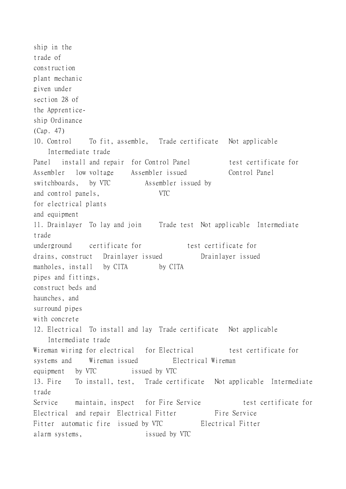ship in the trade of construction plant mechanic given under section 28 of the Apprenticeship Ordinance (Cap. 47) 10. Control To fit, assemble, Trade certificate Not applicable Intermediate trade Panel install and repair for Control Panel test certificate for Assembler low voltage Assembler issued Control Panel switchboards, by VTC Assembler issued by and control panels, VTC for electrical plants and equipment 11. Drainlayer To lay and join Trade test Not applicable Intermediate trade underground certificate for test certificate for drains, construct Drainlayer issued Drainlayer issued manholes, install by CITA by CITA pipes and fittings, construct beds and haunches, and surround pipes with concrete 12. Electrical To install and lay Trade certificate Not applicable Intermediate trade Wireman wiring for electrical for Electrical test certificate for systems and Wireman issued Electrical Wireman equipment by VTC issued by VTC 13. Fire To install, test, Trade certificate Not applicable Intermediate trade Service maintain, inspect for Fire Service test certificate for Electrical and repair Electrical Fitter Fire Service Fitter automatic fire issued by VTC Electrical Fitter alarm systems, issued by VTC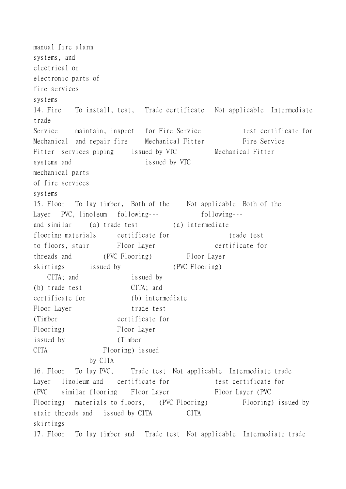manual fire alarm systems, and electrical or electronic parts of fire services systems 14. Fire To install, test, Trade certificate Not applicable Intermediate trade Service maintain, inspect for Fire Service test certificate for Mechanical and repair fire Mechanical Fitter Fire Service Fitter services piping issued by VTC Mechanical Fitter systems and issued by VTC mechanical parts of fire services systems 15. Floor To lay timber, Both of the Not applicable Both of the Layer PVC, linoleum following--- following-- and similar (a) trade test (a) intermediate flooring materials certificate for trade test to floors, stair Floor Layer certificate for threads and (PVC Flooring) Floor Layer skirtings issued by (PVC Flooring) CITA; and issued by (b) trade test CITA; and certificate for (b) intermediate Floor Layer trade test (Timber certificate for Flooring) Floor Layer issued by (Timber CITA Flooring) issued by CITA 16. Floor To lay PVC, Trade test Not applicable Intermediate trade Layer linoleum and certificate for test certificate for (PVC similar flooring Floor Layer Floor Layer (PVC Flooring) materials to floors, (PVC Flooring) Flooring) issued by stair threads and issued by CITA CITA skirtings 17. Floor To lay timber and Trade test Not applicable Intermediate trade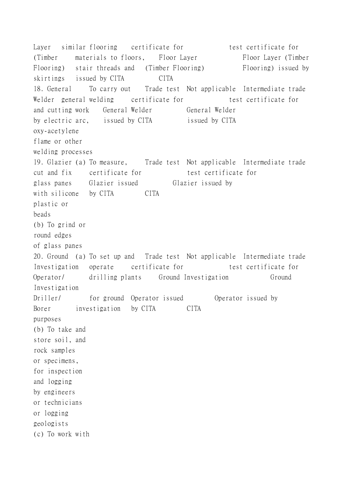Layer similar flooring certificate for test certificate for (Timber materials to floors, Floor Layer Floor Layer (Timber Flooring) stair threads and (Timber Flooring) Flooring) issued by skirtings issued by CITA CITA 18. General To carry out Trade test Not applicable Intermediate trade Welder general welding certificate for test certificate for and cutting work General Welder General Welder by electric arc, issued by CITA issued by CITA oxy-acetylene flame or other welding processes 19. Glazier (a) To measure, Trade test Not applicable Intermediate trade cut and fix certificate for test certificate for glass panes Glazier issued Glazier issued by with silicone by CITA CITA plastic or beads (b) To grind or round edges of glass panes 20. Ground (a) To set up and Trade test Not applicable Intermediate trade Investigation operate certificate for test certificate for Operator/ drilling plants Ground Investigation Ground Investigation Driller/ for ground Operator issued Operator issued by Borer investigation by CITA CITA purposes (b) To take and store soil, and rock samples or specimens, for inspection and logging by engineers or technicians or logging geologists (c) To work with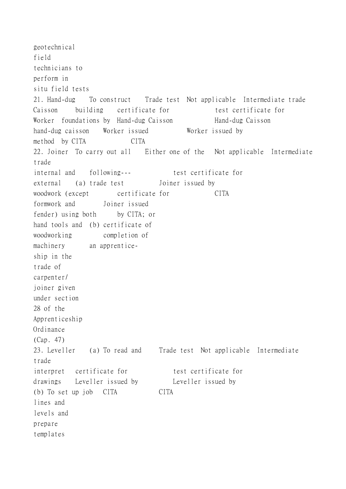geotechnical field technicians to perform in situ field tests 21. Hand-dug To construct Trade test Not applicable Intermediate trade Caisson building certificate for test certificate for Worker foundations by Hand-dug Caisson<br>
Hand-dug Caisson hand-dug caisson Worker issued Worker issued by method by CITA CITA 22. Joiner To carry out all Either one of the Not applicable Intermediate trade internal and following--- test certificate for external (a) trade test Joiner issued by woodwork (except certificate for CITA formwork and Joiner issued fender) using both by CITA; or hand tools and (b) certificate of woodworking completion of machinery an apprenticeship in the trade of carpenter/ joiner given under section 28 of the Apprenticeship Ordinance (Cap. 47) 23. Leveller (a) To read and Trade test Not applicable Intermediate trade interpret certificate for test certificate for drawings Leveller issued by Leveller issued by (b) To set up job CITA CITA lines and levels and prepare templates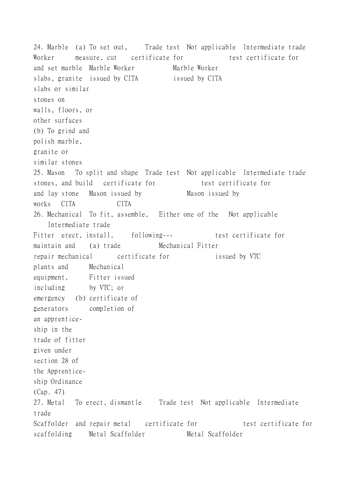24. Marble (a) To set out, Trade test Not applicable Intermediate trade Worker measure, cut certificate for test certificate for and set marble Marble Worker Marble Worker slabs, granite issued by CITA issued by CITA slabs or similar stones on walls, floors, or other surfaces (b) To grind and polish marble, granite or similar stones 25. Mason To split and shape Trade test Not applicable Intermediate trade stones, and build certificate for test certificate for and lay stone Mason issued by Mason issued by works CITA CITA 26. Mechanical To fit, assemble, Either one of the Not applicable Intermediate trade Fitter erect, install, following--- test certificate for maintain and (a) trade Mechanical Fitter repair mechanical certificate for issued by VTC plants and Mechanical equipment, Fitter issued including by VTC; or emergency (b) certificate of generators completion of an apprenticeship in the trade of fitter given under section 28 of the Apprenticeship Ordinance (Cap. 47) 27. Metal To erect, dismantle Trade test Not applicable Intermediate trade Scaffolder and repair metal certificate for test certificate for scaffolding Metal Scaffolder Metal Scaffolder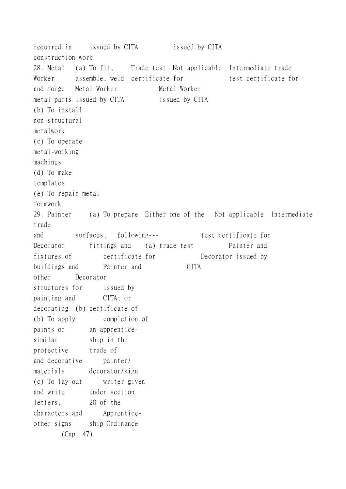required in issued by CITA issued by CITA construction work 28. Metal (a) To fit, Trade test Not applicable Intermediate trade Worker assemble, weld certificate for test certificate for and forge Metal Worker Metal Worker metal parts issued by CITA issued by CITA (b) To install non-structural metalwork (c) To operate metal-working machines (d) To make templates (e) To repair metal formwork 29. Painter (a) To prepare Either one of the Not applicable Intermediate trade and surfaces, following--- test certificate for Decorator fittings and (a) trade test Painter and fixtures of certificate for Decorator issued by buildings and Painter and CITA other Decorator structures for issued by painting and CITA; or decorating (b) certificate of (b) To apply completion of paints or an apprenticesimilar ship in the protective trade of and decorative painter/ materials decorator/sign (c) To lay out writer given and write under section letters, 28 of the characters and Apprenticeother signs ship Ordinance (Cap. 47)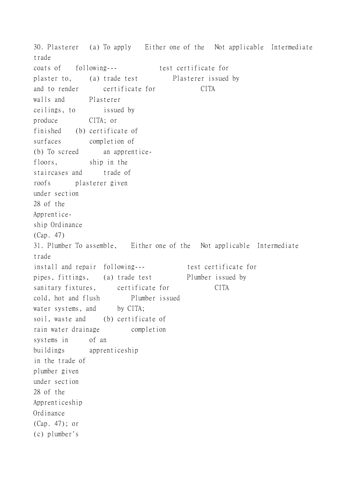30. Plasterer (a) To apply Either one of the Not applicable Intermediate trade coats of following--- test certificate for plaster to, (a) trade test Plasterer issued by and to render certificate for CITA walls and Plasterer ceilings, to issued by produce CITA; or finished (b) certificate of surfaces completion of (b) To screed an apprenticefloors, ship in the staircases and trade of roofs plasterer given under section 28 of the Apprenticeship Ordinance (Cap. 47) 31. Plumber To assemble, Either one of the Not applicable Intermediate trade install and repair following---<br>test certificate for pipes, fittings, (a) trade test Plumber issued by sanitary fixtures, certificate for CITA cold, hot and flush Plumber issued water systems, and by CITA; soil, waste and (b) certificate of rain water drainage completion systems in of an buildings apprenticeship in the trade of plumber given under section 28 of the Apprenticeship Ordinance (Cap. 47); or (c) plumber's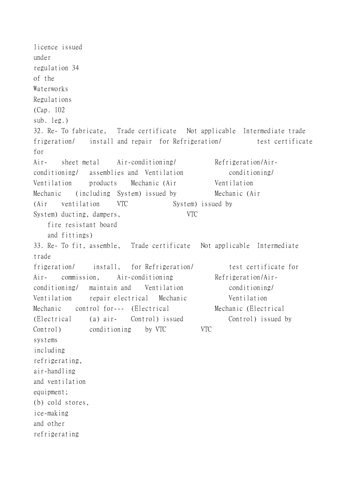licence issued under regulation 34 of the Waterworks Regulations (Cap. 102 sub. leg.) 32. Re- To fabricate, Trade certificate Not applicable Intermediate trade frigeration/ install and repair for Refrigeration/ test certificate for Air- sheet metal Air-conditioning/ Refrigeration/Airconditioning/ assemblies and Ventilation conditioning/ Ventilation products Mechanic (Air Ventilation Mechanic (including System) issued by Mechanic (Air (Air ventilation VTC System) issued by System) ducting, dampers, VTC fire resistant board and fittings) 33. Re- To fit, assemble, Trade certificate Not applicable Intermediate trade frigeration/ install, for Refrigeration/ test certificate for Air- commission, Air-conditioning Refrigeration/Airconditioning/ maintain and Ventilation conditioning/ Ventilation repair electrical Mechanic Ventilation Mechanic control for--- (Electrical Mechanic (Electrical (Electrical (a) air- Control) issued Control) issued by Control) conditioning by VTC VTC systems including refrigerating, air-handling and ventilation equipment; (b) cold stores, ice-making and other refrigerating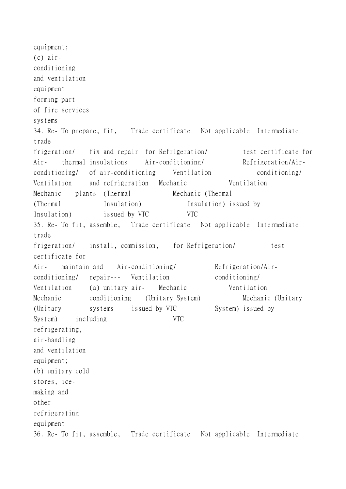equipment; (c) airconditioning and ventilation equipment forming part of fire services systems 34. Re- To prepare, fit, Trade certificate Not applicable Intermediate trade frigeration/ fix and repair for Refrigeration/ test certificate for Air- thermal insulations Air-conditioning/ Refrigeration/Airconditioning/ of air-conditioning Ventilation conditioning/ Ventilation and refrigeration Mechanic Ventilation Mechanic plants (Thermal Mechanic (Thermal (Thermal Insulation) Insulation issued by Insulation) issued by VTC VTC 35. Re- To fit, assemble, Trade certificate Not applicable Intermediate trade frigeration/ install, commission, for Refrigeration/ test certificate for Air- maintain and Air-conditioning/ Refrigeration/Airconditioning/ repair--- Ventilation conditioning/ Ventilation (a) unitary air- Mechanic Ventilation Mechanic conditioning (Unitary System) Mechanic (Unitary (Unitary systems issued by VTC System) issued by System) including VTC refrigerating, air-handling and ventilation equipment; (b) unitary cold stores, icemaking and other refrigerating equipment 36. Re- To fit, assemble, Trade certificate Not applicable Intermediate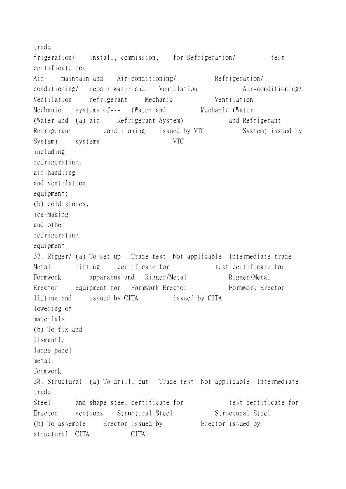trade frigeration/ install, commission, for Refrigeration/ test certificate for Air- maintain and Air-conditioning/ Refrigeration/ conditioning/ repair water and Ventilation Air-conditioning/ Ventilation refrigerant Mechanic Ventilation Mechanic systems of--- (Water and Mechanic (Water (Water and (a) air-<br>Refrigerant System) and Refrigerant Refrigerant conditioning issued by VTC System) issued by System) systems VTC including refrigerating, air-handling and ventilation equipment; (b) cold stores, ice-making and other refrigerating equipment 37. Rigger/ (a) To set up Trade test Not applicable Intermediate trade Metal lifting certificate for test certificate for Formwork apparatus and Rigger/Metal Rigger/Metal Erector equipment for Formwork Erector Formwork Erector lifting and issued by CITA issued by CITA lowering of materials (b) To fix and dismantle large panel metal formwork 38. Structural (a) To drill, cut Trade test Not applicable Intermediate trade Steel and shape steel certificate for test certificate for Erector sections Structural Steel Structural Steel (b) To assemble Erector issued by Erector issued by structural CITA CITA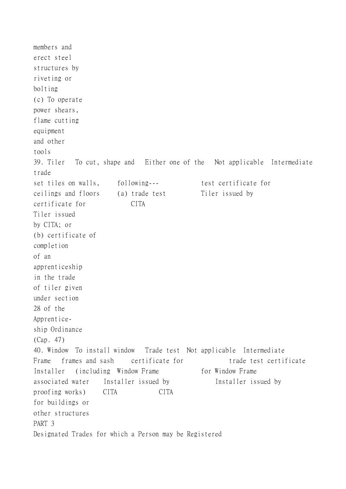members and erect steel structures by riveting or bolting (c) To operate power shears, flame cutting equipment and other tools 39. Tiler To cut, shape and Either one of the Not applicable Intermediate trade set tiles on walls, following--- test certificate for ceilings and floors (a) trade test Tiler issued by certificate for CITA Tiler issued by CITA; or (b) certificate of completion of an apprenticeship in the trade of tiler given under section 28 of the Apprenticeship Ordinance (Cap. 47) 40. Window To install window Trade test Not applicable Intermediate Frame frames and sash certificate for trade test certificate Installer (including Window Frame for Window Frame associated water Installer issued by Installer issued by proofing works) CITA CITA for buildings or other structures PART 3 Designated Trades for which a Person may be Registered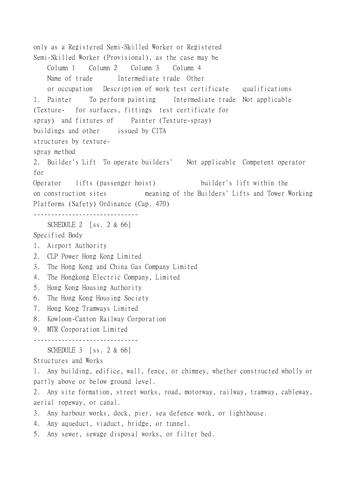only as a Registered Semi-Skilled Worker or Registered Semi-Skilled Worker (Provisional), as the case may be Column 1 Column 2 Column 3 Column 4 Name of trade Intermediate trade Other or occupation Description of work test certificate qualifications 1. Painter To perform painting Intermediate trade Not applicable (Texture- for surfaces, fittings test certificate for spray) and fixtures of Painter (Texture-spray) buildings and other issued by CITA structures by texturespray method 2. Builder's Lift To operate builders' Not applicable Competent operator for Operator lifts (passenger hoist) builder's lift within the on construction sites meaning of the Builders' Lifts and Tower Working Platforms (Safety) Ordinance (Cap. 470) ------------------------------ SCHEDULE 2 [ss. 2 & 66] Specified Body 1. Airport Authority 2. CLP Power Hong Kong Limited 3. The Hong Kong and China Gas Company Limited 4. The Hongkong Electric Company, Limited 5. Hong Kong Housing Authority 6. The Hong Kong Housing Society 7. Hong Kong Tramways Limited 8. Kowloon-Canton Railway Corporation 9. MTR Corporation Limited ------------------------------ SCHEDULE 3 [ss. 2 & 66] Structures and Works 1. Any building, edifice, wall, fence, or chimney, whether constructed wholly or partly above or below ground level. 2. Any site formation, street works, road, motorway, railway, tramway, cableway, aerial ropeway, or canal. 3. Any harbour works, dock, pier, sea defence work, or lighthouse. 4. Any aqueduct, viaduct, bridge, or tunnel. 5. Any sewer, sewage disposal works, or filter bed.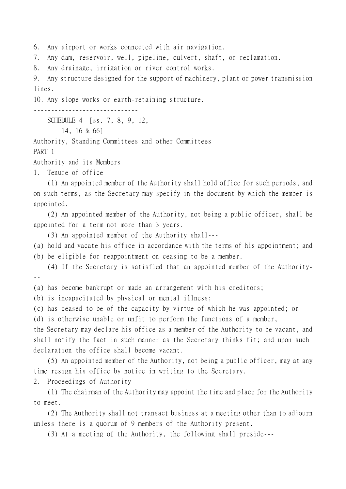6. Any airport or works connected with air navigation.

7. Any dam, reservoir, well, pipeline, culvert, shaft, or reclamation.

8. Any drainage, irrigation or river control works.

9. Any structure designed for the support of machinery, plant or power transmission lines.

10. Any slope works or earth-retaining structure.

------------------------------

SCHEDULE 4 [ss. 7, 8, 9, 12,

14, 16 & 66]

Authority, Standing Committees and other Committees

PART 1

Authority and its Members

1. Tenure of office

(1) An appointed member of the Authority shall hold office for such periods, and on such terms, as the Secretary may specify in the document by which the member is appointed.

(2) An appointed member of the Authority, not being a public officer, shall be appointed for a term not more than 3 years.

(3) An appointed member of the Authority shall---

(a) hold and vacate his office in accordance with the terms of his appointment; and (b) be eligible for reappointment on ceasing to be a member.

(4) If the Secretary is satisfied that an appointed member of the Authority- --

(a) has become bankrupt or made an arrangement with his creditors;

(b) is incapacitated by physical or mental illness;

(c) has ceased to be of the capacity by virtue of which he was appointed; or

(d) is otherwise unable or unfit to perform the functions of a member,

the Secretary may declare his office as a member of the Authority to be vacant, and shall notify the fact in such manner as the Secretary thinks fit; and upon such declaration the office shall become vacant.

(5) An appointed member of the Authority, not being a public officer, may at any time resign his office by notice in writing to the Secretary.

2. Proceedings of Authority

(1) The chairman of the Authority may appoint the time and place for the Authority to meet.

(2) The Authority shall not transact business at a meeting other than to adjourn unless there is a quorum of 9 members of the Authority present.

(3) At a meeting of the Authority, the following shall preside---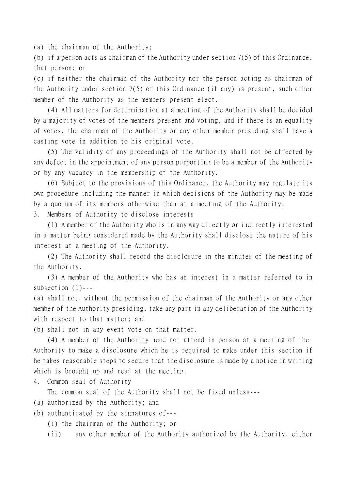(a) the chairman of the Authority;

(b) if a person acts as chairman of the Authority under section 7(5) of this Ordinance, that person; or

(c) if neither the chairman of the Authority nor the person acting as chairman of the Authority under section 7(5) of this Ordinance (if any) is present, such other member of the Authority as the members present elect.

(4) All matters for determination at a meeting of the Authority shall be decided by a majority of votes of the members present and voting, and if there is an equality of votes, the chairman of the Authority or any other member presiding shall have a casting vote in addition to his original vote.

(5) The validity of any proceedings of the Authority shall not be affected by any defect in the appointment of any person purporting to be a member of the Authority or by any vacancy in the membership of the Authority.

(6) Subject to the provisions of this Ordinance, the Authority may regulate its own procedure including the manner in which decisions of the Authority may be made by a quorum of its members otherwise than at a meeting of the Authority.

3. Members of Authority to disclose interests

(1) A member of the Authority who is in any way directly or indirectly interested in a matter being considered made by the Authority shall disclose the nature of his interest at a meeting of the Authority.

(2) The Authority shall record the disclosure in the minutes of the meeting of the Authority.

(3) A member of the Authority who has an interest in a matter referred to in subsection (1)---

(a) shall not, without the permission of the chairman of the Authority or any other member of the Authority presiding, take any part in any deliberation of the Authority with respect to that matter; and

(b) shall not in any event vote on that matter.

(4) A member of the Authority need not attend in person at a meeting of the Authority to make a disclosure which he is required to make under this section if he takes reasonable steps to secure that the disclosure is made by a notice in writing which is brought up and read at the meeting.

4. Common seal of Authority

The common seal of the Authority shall not be fixed unless---

- (a) authorized by the Authority; and
- (b) authenticated by the signatures of---
	- (i) the chairman of the Authority; or

(ii) any other member of the Authority authorized by the Authority, either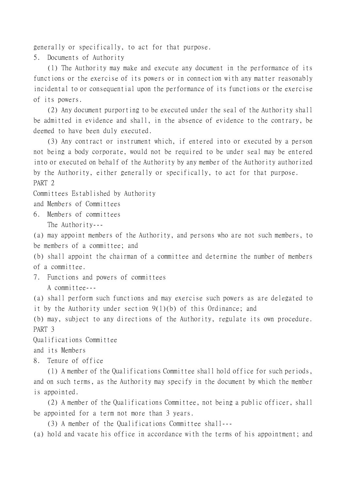generally or specifically, to act for that purpose.

5. Documents of Authority

(1) The Authority may make and execute any document in the performance of its functions or the exercise of its powers or in connection with any matter reasonably incidental to or consequential upon the performance of its functions or the exercise of its powers.

(2) Any document purporting to be executed under the seal of the Authority shall be admitted in evidence and shall, in the absence of evidence to the contrary, be deemed to have been duly executed.

(3) Any contract or instrument which, if entered into or executed by a person not being a body corporate, would not be required to be under seal may be entered into or executed on behalf of the Authority by any member of the Authority authorized by the Authority, either generally or specifically, to act for that purpose. PART 2

Committees Established by Authority

and Members of Committees

6. Members of committees The Authority---

(a) may appoint members of the Authority, and persons who are not such members, to be members of a committee; and

(b) shall appoint the chairman of a committee and determine the number of members of a committee.

7. Functions and powers of committees

A committee---

(a) shall perform such functions and may exercise such powers as are delegated to it by the Authority under section 9(1)(b) of this Ordinance; and

(b) may, subject to any directions of the Authority, regulate its own procedure. PART 3

Qualifications Committee

and its Members

8. Tenure of office

(1) A member of the Qualifications Committee shall hold office for such periods, and on such terms, as the Authority may specify in the document by which the member is appointed.

(2) A member of the Qualifications Committee, not being a public officer, shall be appointed for a term not more than 3 years.

(3) A member of the Qualifications Committee shall---

(a) hold and vacate his office in accordance with the terms of his appointment; and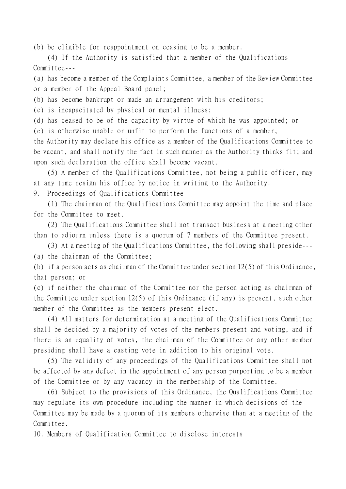(b) be eligible for reappointment on ceasing to be a member.

(4) If the Authority is satisfied that a member of the Qualifications Committee---

(a) has become a member of the Complaints Committee, a member of the Review Committee or a member of the Appeal Board panel;

(b) has become bankrupt or made an arrangement with his creditors;

(c) is incapacitated by physical or mental illness;

(d) has ceased to be of the capacity by virtue of which he was appointed; or

(e) is otherwise unable or unfit to perform the functions of a member,

the Authority may declare his office as a member of the Qualifications Committee to be vacant, and shall notify the fact in such manner as the Authority thinks fit; and upon such declaration the office shall become vacant.

(5) A member of the Qualifications Committee, not being a public officer, may at any time resign his office by notice in writing to the Authority.

9. Proceedings of Qualifications Committee

(1) The chairman of the Qualifications Committee may appoint the time and place for the Committee to meet.

(2) The Qualifications Committee shall not transact business at a meeting other than to adjourn unless there is a quorum of 7 members of the Committee present.

(3) At a meeting of the Qualifications Committee, the following shall preside---

(a) the chairman of the Committee;

(b) if a person acts as chairman of the Committee under section  $12(5)$  of this Ordinance, that person; or

(c) if neither the chairman of the Committee nor the person acting as chairman of the Committee under section 12(5) of this Ordinance (if any) is present, such other member of the Committee as the members present elect.

(4) All matters for determination at a meeting of the Qualifications Committee shall be decided by a majority of votes of the members present and voting, and if there is an equality of votes, the chairman of the Committee or any other member presiding shall have a casting vote in addition to his original vote.

(5) The validity of any proceedings of the Qualifications Committee shall not be affected by any defect in the appointment of any person purporting to be a member of the Committee or by any vacancy in the membership of the Committee.

(6) Subject to the provisions of this Ordinance, the Qualifications Committee may regulate its own procedure including the manner in which decisions of the Committee may be made by a quorum of its members otherwise than at a meeting of the Committee.

10. Members of Qualification Committee to disclose interests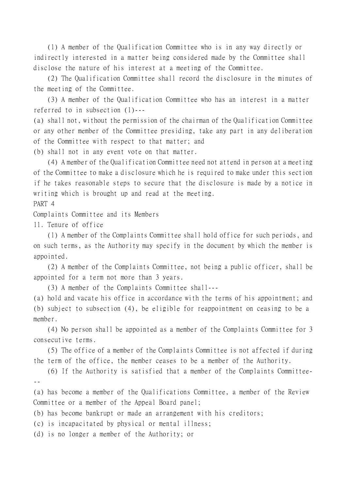(1) A member of the Qualification Committee who is in any way directly or indirectly interested in a matter being considered made by the Committee shall disclose the nature of his interest at a meeting of the Committee.

(2) The Qualification Committee shall record the disclosure in the minutes of the meeting of the Committee.

(3) A member of the Qualification Committee who has an interest in a matter referred to in subsection (1)---

(a) shall not, without the permission of the chairman of the Qualification Committee or any other member of the Committee presiding, take any part in any deliberation of the Committee with respect to that matter; and

(b) shall not in any event vote on that matter.

(4) A member of the Qualification Committee need not attend in person at a meeting of the Committee to make a disclosure which he is required to make under this section if he takes reasonable steps to secure that the disclosure is made by a notice in writing which is brought up and read at the meeting.

PART 4

Complaints Committee and its Members

11. Tenure of office

(1) A member of the Complaints Committee shall hold office for such periods, and on such terms, as the Authority may specify in the document by which the member is appointed.

(2) A member of the Complaints Committee, not being a public officer, shall be appointed for a term not more than 3 years.

(3) A member of the Complaints Committee shall---

(a) hold and vacate his office in accordance with the terms of his appointment; and (b) subject to subsection (4), be eligible for reappointment on ceasing to be a member.

(4) No person shall be appointed as a member of the Complaints Committee for 3 consecutive terms.

(5) The office of a member of the Complaints Committee is not affected if during the term of the office, the member ceases to be a member of the Authority.

(6) If the Authority is satisfied that a member of the Complaints Committee- --

(a) has become a member of the Qualifications Committee, a member of the Review Committee or a member of the Appeal Board panel;

(b) has become bankrupt or made an arrangement with his creditors;

(c) is incapacitated by physical or mental illness;

(d) is no longer a member of the Authority; or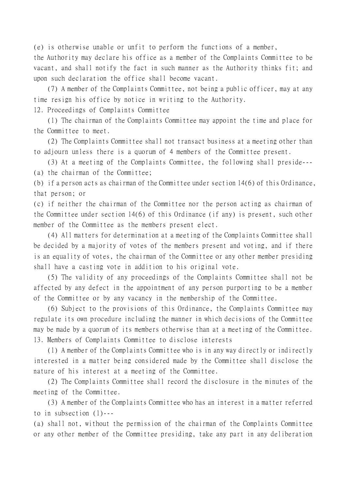(e) is otherwise unable or unfit to perform the functions of a member,

the Authority may declare his office as a member of the Complaints Committee to be vacant, and shall notify the fact in such manner as the Authority thinks fit; and upon such declaration the office shall become vacant.

(7) A member of the Complaints Committee, not being a public officer, may at any time resign his office by notice in writing to the Authority.

12. Proceedings of Complaints Committee

(1) The chairman of the Complaints Committee may appoint the time and place for the Committee to meet.

(2) The Complaints Committee shall not transact business at a meeting other than to adjourn unless there is a quorum of 4 members of the Committee present.

(3) At a meeting of the Complaints Committee, the following shall preside--- (a) the chairman of the Committee;

(b) if a person acts as chairman of the Committee under section 14(6) of this Ordinance, that person; or

(c) if neither the chairman of the Committee nor the person acting as chairman of the Committee under section 14(6) of this Ordinance (if any) is present, such other member of the Committee as the members present elect.

(4) All matters for determination at a meeting of the Complaints Committee shall be decided by a majority of votes of the members present and voting, and if there is an equality of votes, the chairman of the Committee or any other member presiding shall have a casting vote in addition to his original vote.

(5) The validity of any proceedings of the Complaints Committee shall not be affected by any defect in the appointment of any person purporting to be a member of the Committee or by any vacancy in the membership of the Committee.

(6) Subject to the provisions of this Ordinance, the Complaints Committee may regulate its own procedure including the manner in which decisions of the Committee may be made by a quorum of its members otherwise than at a meeting of the Committee. 13. Members of Complaints Committee to disclose interests

(1) A member of the Complaints Committee who is in any way directly or indirectly interested in a matter being considered made by the Committee shall disclose the nature of his interest at a meeting of the Committee.

(2) The Complaints Committee shall record the disclosure in the minutes of the meeting of the Committee.

(3) A member of the Complaints Committee who has an interest in a matter referred to in subsection (1)---

(a) shall not, without the permission of the chairman of the Complaints Committee or any other member of the Committee presiding, take any part in any deliberation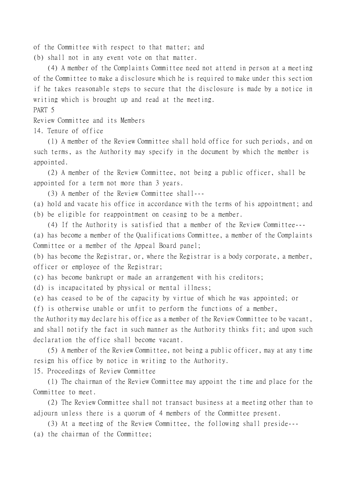of the Committee with respect to that matter; and

(b) shall not in any event vote on that matter.

(4) A member of the Complaints Committee need not attend in person at a meeting of the Committee to make a disclosure which he is required to make under this section if he takes reasonable steps to secure that the disclosure is made by a notice in writing which is brought up and read at the meeting.

PART 5

Review Committee and its Members

14. Tenure of office

(1) A member of the Review Committee shall hold office for such periods, and on such terms, as the Authority may specify in the document by which the member is appointed.

(2) A member of the Review Committee, not being a public officer, shall be appointed for a term not more than 3 years.

(3) A member of the Review Committee shall---

(a) hold and vacate his office in accordance with the terms of his appointment; and

(b) be eligible for reappointment on ceasing to be a member.

(4) If the Authority is satisfied that a member of the Review Committee---

(a) has become a member of the Qualifications Committee, a member of the Complaints Committee or a member of the Appeal Board panel;

(b) has become the Registrar, or, where the Registrar is a body corporate, a member, officer or employee of the Registrar;

(c) has become bankrupt or made an arrangement with his creditors;

(d) is incapacitated by physical or mental illness;

(e) has ceased to be of the capacity by virtue of which he was appointed; or

(f) is otherwise unable or unfit to perform the functions of a member,

the Authority may declare his office as a member of the Review Committee to be vacant, and shall notify the fact in such manner as the Authority thinks fit; and upon such declaration the office shall become vacant.

(5) A member of the Review Committee, not being a public officer, may at any time resign his office by notice in writing to the Authority.

15. Proceedings of Review Committee

(1) The chairman of the Review Committee may appoint the time and place for the Committee to meet.

(2) The Review Committee shall not transact business at a meeting other than to adjourn unless there is a quorum of 4 members of the Committee present.

(3) At a meeting of the Review Committee, the following shall preside--- (a) the chairman of the Committee;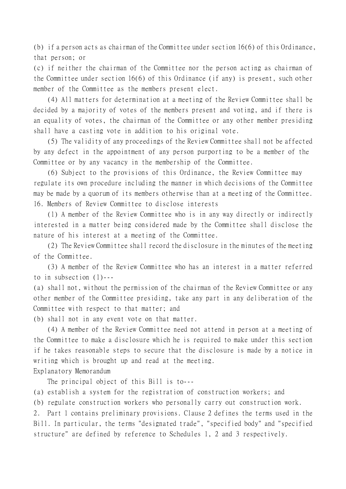(b) if a person acts as chairman of the Committee under section 16(6) of this Ordinance, that person; or

(c) if neither the chairman of the Committee nor the person acting as chairman of the Committee under section 16(6) of this Ordinance (if any) is present, such other member of the Committee as the members present elect.

(4) All matters for determination at a meeting of the Review Committee shall be decided by a majority of votes of the members present and voting, and if there is an equality of votes, the chairman of the Committee or any other member presiding shall have a casting vote in addition to his original vote.

(5) The validity of any proceedings of the Review Committee shall not be affected by any defect in the appointment of any person purporting to be a member of the Committee or by any vacancy in the membership of the Committee.

(6) Subject to the provisions of this Ordinance, the Review Committee may regulate its own procedure including the manner in which decisions of the Committee may be made by a quorum of its members otherwise than at a meeting of the Committee. 16. Members of Review Committee to disclose interests

(1) A member of the Review Committee who is in any way directly or indirectly interested in a matter being considered made by the Committee shall disclose the nature of his interest at a meeting of the Committee.

(2) The Review Committee shall record the disclosure in the minutes of the meeting of the Committee.

(3) A member of the Review Committee who has an interest in a matter referred to in subsection (1)---

(a) shall not, without the permission of the chairman of the Review Committee or any other member of the Committee presiding, take any part in any deliberation of the Committee with respect to that matter; and

(b) shall not in any event vote on that matter.

(4) A member of the Review Committee need not attend in person at a meeting of the Committee to make a disclosure which he is required to make under this section if he takes reasonable steps to secure that the disclosure is made by a notice in writing which is brought up and read at the meeting.

Explanatory Memorandum

The principal object of this Bill is to---

(a) establish a system for the registration of construction workers; and

(b) regulate construction workers who personally carry out construction work.

2. Part 1 contains preliminary provisions. Clause 2 defines the terms used in the Bill. In particular, the terms "designated trade", "specified body" and "specified structure" are defined by reference to Schedules 1, 2 and 3 respectively.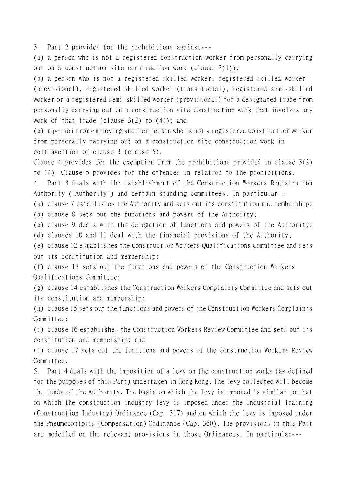3. Part 2 provides for the prohibitions against---

(a) a person who is not a registered construction worker from personally carrying out on a construction site construction work (clause 3(1));

(b) a person who is not a registered skilled worker, registered skilled worker (provisional), registered skilled worker (transitional), registered semi-skilled worker or a registered semi-skilled worker (provisional) for a designated trade from personally carrying out on a construction site construction work that involves any work of that trade (clause  $3(2)$  to  $(4)$ ); and

(c) a person from employing another person who is not a registered construction worker from personally carrying out on a construction site construction work in contravention of clause 3 (clause 5).

Clause 4 provides for the exemption from the prohibitions provided in clause 3(2) to (4). Clause 6 provides for the offences in relation to the prohibitions.

4. Part 3 deals with the establishment of the Construction Workers Registration Authority ("Authority") and certain standing committees. In particular---

(a) clause 7 establishes the Authority and sets out its constitution and membership; (b) clause 8 sets out the functions and powers of the Authority;

(c) clause 9 deals with the delegation of functions and powers of the Authority;

(d) clauses 10 and 11 deal with the financial provisions of the Authority;

(e) clause 12 establishes the Construction Workers Qualifications Committee and sets out its constitution and membership;

(f) clause 13 sets out the functions and powers of the Construction Workers Qualifications Committee;

(g) clause 14 establishes the Construction Workers Complaints Committee and sets out its constitution and membership;

(h) clause 15 sets out the functions and powers of the Construction Workers Complaints Committee;

(i) clause 16 establishes the Construction Workers Review Committee and sets out its constitution and membership; and

(j) clause 17 sets out the functions and powers of the Construction Workers Review Committee.

5. Part 4 deals with the imposition of a levy on the construction works (as defined for the purposes of this Part) undertaken in Hong Kong. The levy collected will become the funds of the Authority. The basis on which the levy is imposed is similar to that on which the construction industry levy is imposed under the Industrial Training (Construction Industry) Ordinance (Cap. 317) and on which the levy is imposed under the Pneumoconiosis (Compensation) Ordinance (Cap. 360). The provisions in this Part are modelled on the relevant provisions in those Ordinances. In particular---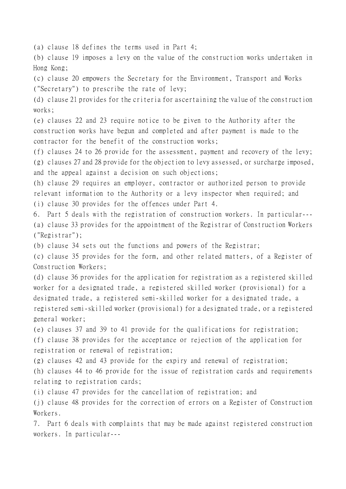(a) clause 18 defines the terms used in Part 4;

(b) clause 19 imposes a levy on the value of the construction works undertaken in Hong Kong;

(c) clause 20 empowers the Secretary for the Environment, Transport and Works ("Secretary") to prescribe the rate of levy;

(d) clause 21 provides for the criteria for ascertaining the value of the construction works;

(e) clauses 22 and 23 require notice to be given to the Authority after the construction works have begun and completed and after payment is made to the contractor for the benefit of the construction works;

(f) clauses 24 to 26 provide for the assessment, payment and recovery of the levy; (g) clauses 27 and 28 provide for the objection to levy assessed, or surcharge imposed, and the appeal against a decision on such objections;

(h) clause 29 requires an employer, contractor or authorized person to provide relevant information to the Authority or a levy inspector when required; and (i) clause 30 provides for the offences under Part 4.

6. Part 5 deals with the registration of construction workers. In particular--- (a) clause 33 provides for the appointment of the Registrar of Construction Workers ("Registrar");

(b) clause 34 sets out the functions and powers of the Registrar;

(c) clause 35 provides for the form, and other related matters, of a Register of Construction Workers;

(d) clause 36 provides for the application for registration as a registered skilled worker for a designated trade, a registered skilled worker (provisional) for a designated trade, a registered semi-skilled worker for a designated trade, a registered semi-skilled worker (provisional) for a designated trade, or a registered general worker;

(e) clauses 37 and 39 to 41 provide for the qualifications for registration; (f) clause 38 provides for the acceptance or rejection of the application for registration or renewal of registration;

(g) clauses 42 and 43 provide for the expiry and renewal of registration; (h) clauses 44 to 46 provide for the issue of registration cards and requirements relating to registration cards;

(i) clause 47 provides for the cancellation of registration; and

(j) clause 48 provides for the correction of errors on a Register of Construction Workers.

7. Part 6 deals with complaints that may be made against registered construction workers. In particular---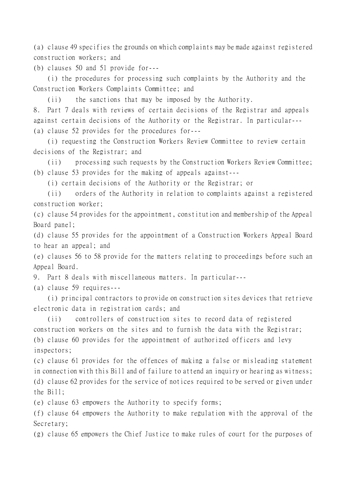(a) clause 49 specifies the grounds on which complaints may be made against registered construction workers; and

(b) clauses 50 and 51 provide for---

(i) the procedures for processing such complaints by the Authority and the Construction Workers Complaints Committee; and

(ii) the sanctions that may be imposed by the Authority.

8. Part 7 deals with reviews of certain decisions of the Registrar and appeals against certain decisions of the Authority or the Registrar. In particular--- (a) clause 52 provides for the procedures for---

(i) requesting the Construction Workers Review Committee to review certain decisions of the Registrar; and

(ii) processing such requests by the Construction Workers Review Committee; (b) clause 53 provides for the making of appeals against---

(i) certain decisions of the Authority or the Registrar; or

(ii) orders of the Authority in relation to complaints against a registered construction worker;

(c) clause 54 provides for the appointment, constitution and membership of the Appeal Board panel;

(d) clause 55 provides for the appointment of a Construction Workers Appeal Board to hear an appeal; and

(e) clauses 56 to 58 provide for the matters relating to proceedings before such an Appeal Board.

9. Part 8 deals with miscellaneous matters. In particular---

(a) clause 59 requires---

(i) principal contractors to provide on construction sites devices that retrieve electronic data in registration cards; and

(ii) controllers of construction sites to record data of registered construction workers on the sites and to furnish the data with the Registrar; (b) clause 60 provides for the appointment of authorized officers and levy inspectors;

(c) clause 61 provides for the offences of making a false or misleading statement in connection with this Bill and of failure to attend an inquiry or hearing as witness; (d) clause 62 provides for the service of notices required to be served or given under the Bill;

(e) clause 63 empowers the Authority to specify forms;

(f) clause 64 empowers the Authority to make regulation with the approval of the Secretary;

(g) clause 65 empowers the Chief Justice to make rules of court for the purposes of